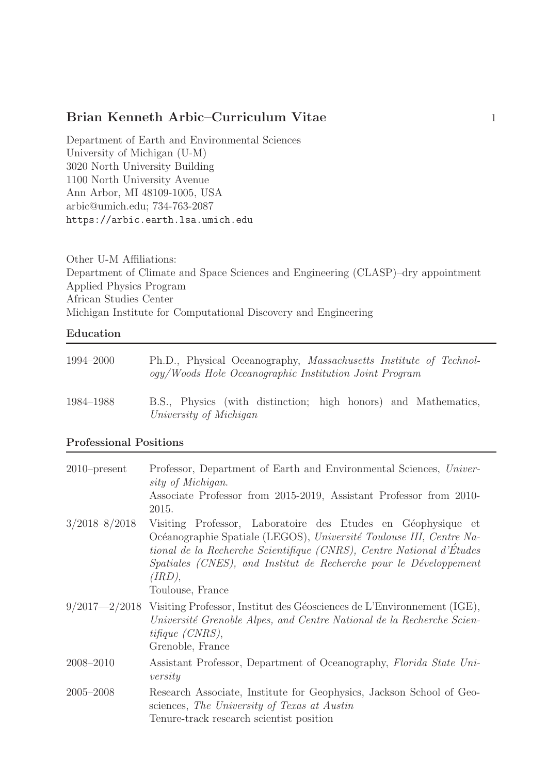Department of Earth and Environmental Sciences University of Michigan (U-M) 3020 North University Building 1100 North University Avenue Ann Arbor, MI 48109-1005, USA arbic@umich.edu; 734-763-2087 https://arbic.earth.lsa.umich.edu

Other U-M Affiliations: Department of Climate and Space Sciences and Engineering (CLASP)–dry appointment Applied Physics Program African Studies Center Michigan Institute for Computational Discovery and Engineering

#### Education

| 1994–2000 | Ph.D., Physical Oceanography, Massachusetts Institute of Technol-<br>ogy/Woods Hole Oceanographic Institution Joint Program |
|-----------|-----------------------------------------------------------------------------------------------------------------------------|
| 1984–1988 | B.S., Physics (with distinction; high honors) and Mathematics,<br>University of Michigan                                    |

#### Professional Positions

| $2010$ -present   | Professor, Department of Earth and Environmental Sciences, Univer-<br>sity of Michigan.<br>Associate Professor from 2015-2019, Assistant Professor from 2010-<br>2015.                                                                                                                                         |
|-------------------|----------------------------------------------------------------------------------------------------------------------------------------------------------------------------------------------------------------------------------------------------------------------------------------------------------------|
| $3/2018 - 8/2018$ | Visiting Professor, Laboratoire des Etudes en Géophysique et<br>Océanographie Spatiale (LEGOS), Université Toulouse III, Centre Na-<br>tional de la Recherche Scientifique (CNRS), Centre National d'Études<br>Spatiales (CNES), and Institut de Recherche pour le Développement<br>(IRD),<br>Toulouse, France |
|                   | $9/2017-2/2018$ Visiting Professor, Institut des Géosciences de L'Environnement (IGE),<br>Université Grenoble Alpes, and Centre National de la Recherche Scien-<br>tifique (CNRS),<br>Grenoble, France                                                                                                         |
| 2008-2010         | Assistant Professor, Department of Oceanography, Florida State Uni-<br>versity                                                                                                                                                                                                                                 |
| $2005 - 2008$     | Research Associate, Institute for Geophysics, Jackson School of Geo-<br>sciences, The University of Texas at Austin<br>Tenure-track research scientist position                                                                                                                                                |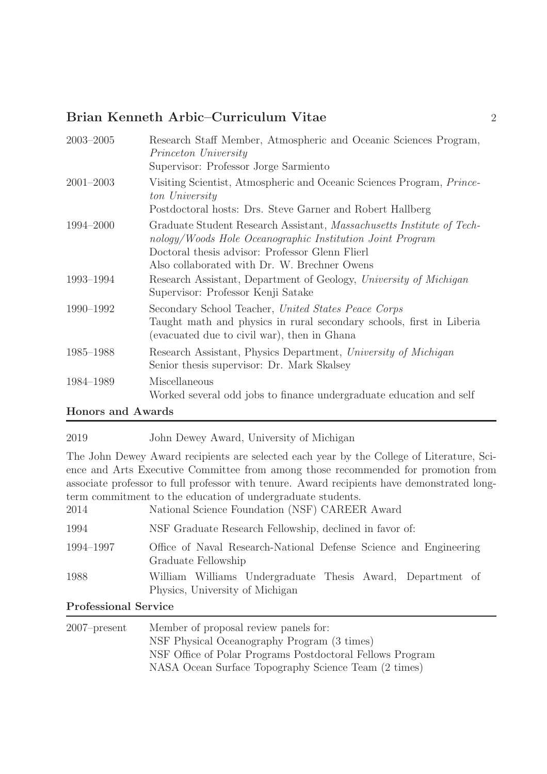| $2003 - 2005$ | Research Staff Member, Atmospheric and Oceanic Sciences Program,<br>Princeton University<br>Supervisor: Professor Jorge Sarmiento                                                                                                     |
|---------------|---------------------------------------------------------------------------------------------------------------------------------------------------------------------------------------------------------------------------------------|
| $2001 - 2003$ | Visiting Scientist, Atmospheric and Oceanic Sciences Program, Prince-<br>ton University<br>Postdoctoral hosts: Drs. Steve Garner and Robert Hallberg                                                                                  |
| 1994-2000     | Graduate Student Research Assistant, Massachusetts Institute of Tech-<br>nology/Woods Hole Oceanographic Institution Joint Program<br>Doctoral thesis advisor: Professor Glenn Flierl<br>Also collaborated with Dr. W. Brechner Owens |
| 1993-1994     | Research Assistant, Department of Geology, University of Michigan<br>Supervisor: Professor Kenji Satake                                                                                                                               |
| 1990-1992     | Secondary School Teacher, United States Peace Corps<br>Taught math and physics in rural secondary schools, first in Liberia<br>(evacuated due to civil war), then in Ghana                                                            |
| 1985-1988     | Research Assistant, Physics Department, University of Michigan<br>Senior thesis supervisor: Dr. Mark Skalsey                                                                                                                          |
| 1984-1989     | Miscellaneous<br>Worked several odd jobs to finance undergraduate education and self                                                                                                                                                  |
| TT.           |                                                                                                                                                                                                                                       |

#### Honors and Awards

### 2019 John Dewey Award, University of Michigan

The John Dewey Award recipients are selected each year by the College of Literature, Science and Arts Executive Committee from among those recommended for promotion from associate professor to full professor with tenure. Award recipients have demonstrated longterm commitment to the education of undergraduate students.

| 2014      | National Science Foundation (NSF) CAREER Award                                                |
|-----------|-----------------------------------------------------------------------------------------------|
| 1994      | NSF Graduate Research Fellowship, declined in favor of:                                       |
| 1994–1997 | Office of Naval Research-National Defense Science and Engineering<br>Graduate Fellowship      |
| 1988      | William Williams Undergraduate Thesis Award, Department of<br>Physics, University of Michigan |

#### Professional Service

| $2007$ -present | Member of proposal review panels for:                     |
|-----------------|-----------------------------------------------------------|
|                 | NSF Physical Oceanography Program (3 times)               |
|                 | NSF Office of Polar Programs Postdoctoral Fellows Program |
|                 | NASA Ocean Surface Topography Science Team (2 times)      |
|                 |                                                           |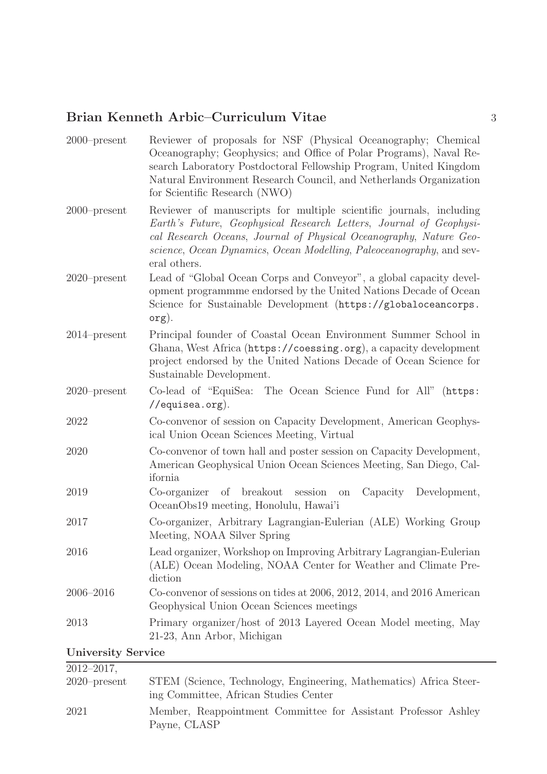| $2000$ -present           | Reviewer of proposals for NSF (Physical Oceanography; Chemical<br>Oceanography; Geophysics; and Office of Polar Programs), Naval Re-<br>search Laboratory Postdoctoral Fellowship Program, United Kingdom<br>Natural Environment Research Council, and Netherlands Organization<br>for Scientific Research (NWO) |
|---------------------------|------------------------------------------------------------------------------------------------------------------------------------------------------------------------------------------------------------------------------------------------------------------------------------------------------------------|
| $2000$ -present           | Reviewer of manuscripts for multiple scientific journals, including<br>Earth's Future, Geophysical Research Letters, Journal of Geophysi-<br>cal Research Oceans, Journal of Physical Oceanography, Nature Geo-<br>science, Ocean Dynamics, Ocean Modelling, Paleoceanography, and sev-<br>eral others.          |
| $2020$ -present           | Lead of "Global Ocean Corps and Conveyor", a global capacity devel-<br>opment programmme endorsed by the United Nations Decade of Ocean<br>Science for Sustainable Development (https://globaloceancorps.<br>org).                                                                                               |
| $2014$ -present           | Principal founder of Coastal Ocean Environment Summer School in<br>Ghana, West Africa (https://coessing.org), a capacity development<br>project endorsed by the United Nations Decade of Ocean Science for<br>Sustainable Development.                                                                           |
| $2020$ -present           | Co-lead of "EquiSea: The Ocean Science Fund for All" (https:<br>//equisea.org).                                                                                                                                                                                                                                  |
| 2022                      | Co-convenor of session on Capacity Development, American Geophys-<br>ical Union Ocean Sciences Meeting, Virtual                                                                                                                                                                                                  |
| 2020                      | Co-convenor of town hall and poster session on Capacity Development,<br>American Geophysical Union Ocean Sciences Meeting, San Diego, Cal-<br>ifornia                                                                                                                                                            |
| 2019                      | of breakout session<br>Co-organizer<br>Capacity Development,<br>on<br>OceanObs19 meeting, Honolulu, Hawai'i                                                                                                                                                                                                      |
| 2017                      | Co-organizer, Arbitrary Lagrangian-Eulerian (ALE) Working Group<br>Meeting, NOAA Silver Spring                                                                                                                                                                                                                   |
| 2016                      | Lead organizer, Workshop on Improving Arbitrary Lagrangian-Eulerian<br>(ALE) Ocean Modeling, NOAA Center for Weather and Climate Pre-<br>diction                                                                                                                                                                 |
| $2006 - 2016$             | Co-convenor of sessions on tides at 2006, 2012, 2014, and 2016 American<br>Geophysical Union Ocean Sciences meetings                                                                                                                                                                                             |
| 2013                      | Primary organizer/host of 2013 Layered Ocean Model meeting, May<br>21-23, Ann Arbor, Michigan                                                                                                                                                                                                                    |
| <b>University Service</b> |                                                                                                                                                                                                                                                                                                                  |

| $2012 - 2017$ , |                                                                                                             |
|-----------------|-------------------------------------------------------------------------------------------------------------|
| $2020$ -present | STEM (Science, Technology, Engineering, Mathematics) Africa Steer-<br>ing Committee, African Studies Center |
| 2021            | Member, Reappointment Committee for Assistant Professor Ashley<br>Payne, CLASP                              |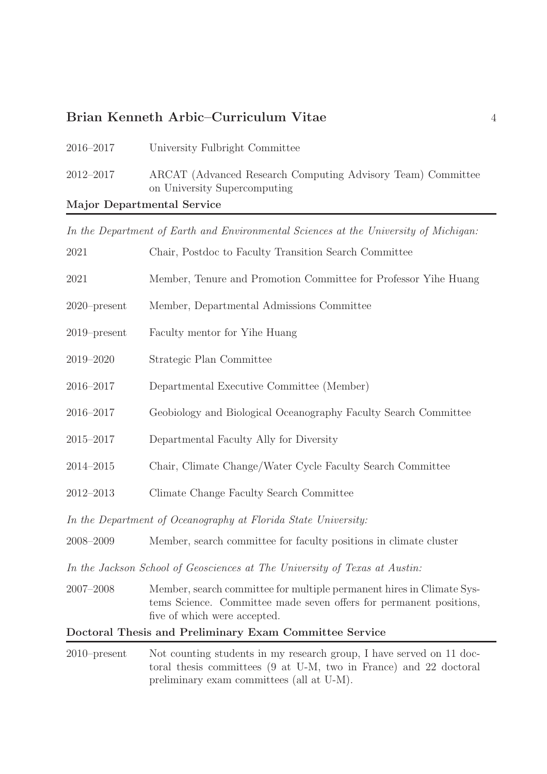| 2016–2017                  | University Fulbright Committee                                                              |
|----------------------------|---------------------------------------------------------------------------------------------|
| $2012 - 2017$              | ARCAT (Advanced Research Computing Advisory Team) Committee<br>on University Supercomputing |
| Major Departmental Service |                                                                                             |

In the Department of Earth and Environmental Sciences at the University of Michigan:

| 2021            | Chair, Postdoc to Faculty Transition Search Committee                                                                                                                       |
|-----------------|-----------------------------------------------------------------------------------------------------------------------------------------------------------------------------|
| 2021            | Member, Tenure and Promotion Committee for Professor Yihe Huang                                                                                                             |
| $2020$ -present | Member, Departmental Admissions Committee                                                                                                                                   |
| $2019$ -present | Faculty mentor for Yihe Huang                                                                                                                                               |
| 2019-2020       | Strategic Plan Committee                                                                                                                                                    |
| 2016-2017       | Departmental Executive Committee (Member)                                                                                                                                   |
| 2016-2017       | Geobiology and Biological Oceanography Faculty Search Committee                                                                                                             |
| $2015 - 2017$   | Departmental Faculty Ally for Diversity                                                                                                                                     |
| $2014 - 2015$   | Chair, Climate Change/Water Cycle Faculty Search Committee                                                                                                                  |
| $2012 - 2013$   | Climate Change Faculty Search Committee                                                                                                                                     |
|                 | In the Department of Oceanography at Florida State University:                                                                                                              |
| 2008-2009       | Member, search committee for faculty positions in climate cluster                                                                                                           |
|                 | In the Jackson School of Geosciences at The University of Texas at Austin:                                                                                                  |
| $2007 - 2008$   | Member, search committee for multiple permanent hires in Climate Sys-<br>tems Science. Committee made seven offers for permanent positions,<br>five of which were accepted. |
|                 | Doctoral Thesis and Preliminary Exam Committee Service                                                                                                                      |
| $2010$ -present | Not counting students in my research group, I have served on 11 doc-                                                                                                        |

toral thesis committees (9 at U-M, two in France) and 22 doctoral preliminary exam committees (all at U-M).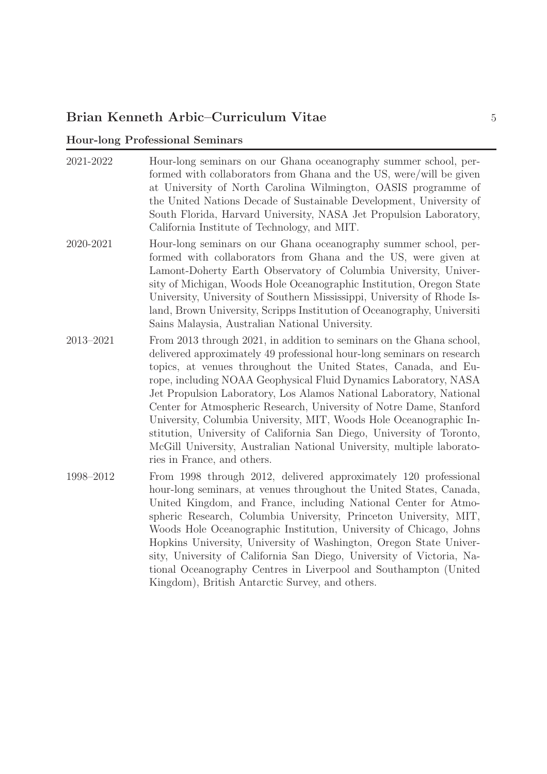## Hour-long Professional Seminars

| 2021-2022 | Hour-long seminars on our Ghana oceanography summer school, per-<br>formed with collaborators from Ghana and the US, were/will be given<br>at University of North Carolina Wilmington, OASIS programme of<br>the United Nations Decade of Sustainable Development, University of<br>South Florida, Harvard University, NASA Jet Propulsion Laboratory,<br>California Institute of Technology, and MIT.                                                                                                                                                                                                                                                                                     |
|-----------|--------------------------------------------------------------------------------------------------------------------------------------------------------------------------------------------------------------------------------------------------------------------------------------------------------------------------------------------------------------------------------------------------------------------------------------------------------------------------------------------------------------------------------------------------------------------------------------------------------------------------------------------------------------------------------------------|
| 2020-2021 | Hour-long seminars on our Ghana oceanography summer school, per-<br>formed with collaborators from Ghana and the US, were given at<br>Lamont-Doherty Earth Observatory of Columbia University, Univer-<br>sity of Michigan, Woods Hole Oceanographic Institution, Oregon State<br>University, University of Southern Mississippi, University of Rhode Is-<br>land, Brown University, Scripps Institution of Oceanography, Universiti<br>Sains Malaysia, Australian National University.                                                                                                                                                                                                    |
| 2013-2021 | From 2013 through 2021, in addition to seminars on the Ghana school,<br>delivered approximately 49 professional hour-long seminars on research<br>topics, at venues throughout the United States, Canada, and Eu-<br>rope, including NOAA Geophysical Fluid Dynamics Laboratory, NASA<br>Jet Propulsion Laboratory, Los Alamos National Laboratory, National<br>Center for Atmospheric Research, University of Notre Dame, Stanford<br>University, Columbia University, MIT, Woods Hole Oceanographic In-<br>stitution, University of California San Diego, University of Toronto,<br>McGill University, Australian National University, multiple laborato-<br>ries in France, and others. |
| 1998-2012 | From 1998 through 2012, delivered approximately 120 professional<br>hour-long seminars, at venues throughout the United States, Canada,<br>United Kingdom, and France, including National Center for Atmo-<br>spheric Research, Columbia University, Princeton University, MIT,<br>Woods Hole Oceanographic Institution, University of Chicago, Johns<br>Hopkins University, University of Washington, Oregon State Univer-<br>sity, University of California San Diego, University of Victoria, Na-<br>tional Oceanography Centres in Liverpool and Southampton (United<br>Kingdom), British Antarctic Survey, and others.                                                                |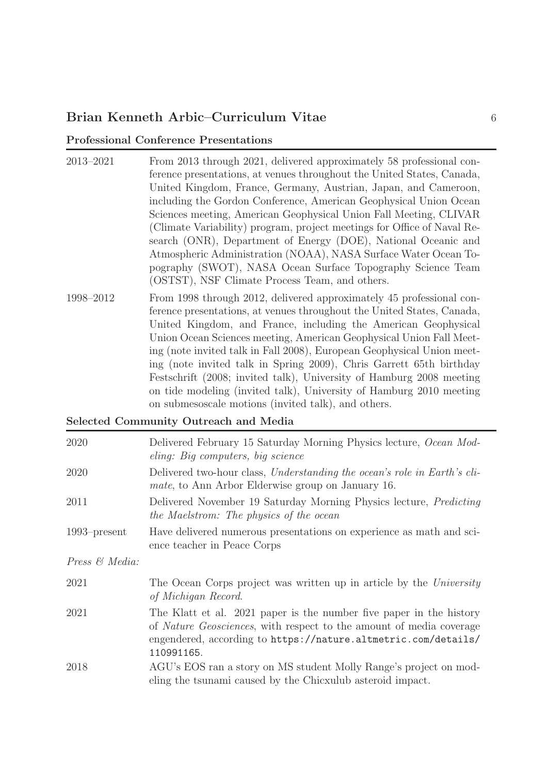#### Professional Conference Presentations

- 2013–2021 From 2013 through 2021, delivered approximately 58 professional conference presentations, at venues throughout the United States, Canada, United Kingdom, France, Germany, Austrian, Japan, and Cameroon, including the Gordon Conference, American Geophysical Union Ocean Sciences meeting, American Geophysical Union Fall Meeting, CLIVAR (Climate Variability) program, project meetings for Office of Naval Research (ONR), Department of Energy (DOE), National Oceanic and Atmospheric Administration (NOAA), NASA Surface Water Ocean Topography (SWOT), NASA Ocean Surface Topography Science Team (OSTST), NSF Climate Process Team, and others.
- 1998–2012 From 1998 through 2012, delivered approximately 45 professional conference presentations, at venues throughout the United States, Canada, United Kingdom, and France, including the American Geophysical Union Ocean Sciences meeting, American Geophysical Union Fall Meeting (note invited talk in Fall 2008), European Geophysical Union meeting (note invited talk in Spring 2009), Chris Garrett 65th birthday Festschrift (2008; invited talk), University of Hamburg 2008 meeting on tide modeling (invited talk), University of Hamburg 2010 meeting on submesoscale motions (invited talk), and others.

#### Selected Community Outreach and Media

| 2020            | Delivered February 15 Saturday Morning Physics lecture, Ocean Mod-<br>eling: Big computers, big science                                                                                                                    |
|-----------------|----------------------------------------------------------------------------------------------------------------------------------------------------------------------------------------------------------------------------|
| 2020            | Delivered two-hour class, Understanding the ocean's role in Earth's cli-<br><i>mate</i> , to Ann Arbor Elderwise group on January 16.                                                                                      |
| 2011            | Delivered November 19 Saturday Morning Physics lecture, <i>Predicting</i><br>the Maelstrom: The physics of the ocean                                                                                                       |
| $1993$ -present | Have delivered numerous presentations on experience as math and sci-<br>ence teacher in Peace Corps                                                                                                                        |
| Press & Media:  |                                                                                                                                                                                                                            |
| 2021            | The Ocean Corps project was written up in article by the University<br>of Michigan Record.                                                                                                                                 |
| 2021            | The Klatt et al. 2021 paper is the number five paper in the history<br>of Nature Geosciences, with respect to the amount of media coverage<br>engendered, according to https://nature.altmetric.com/details/<br>110991165. |
| 2018            | AGU's EOS ran a story on MS student Molly Range's project on mod-<br>eling the tsunami caused by the Chicxulub asteroid impact.                                                                                            |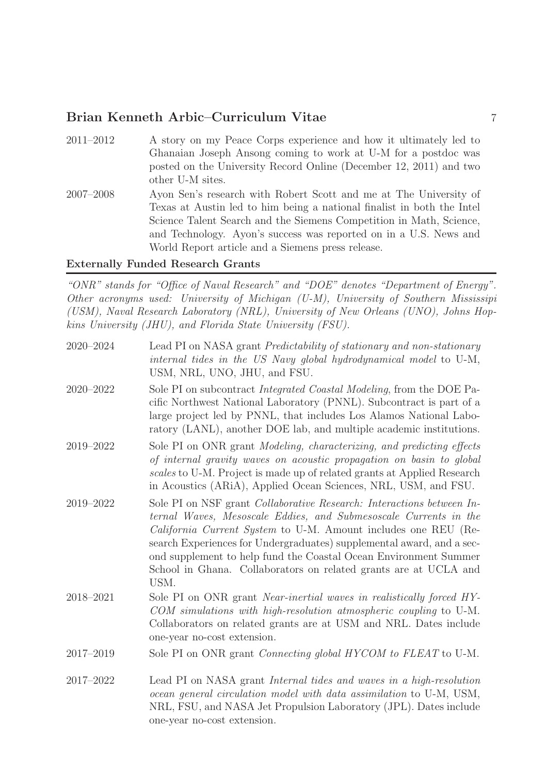2011–2012 A story on my Peace Corps experience and how it ultimately led to Ghanaian Joseph Ansong coming to work at U-M for a postdoc was posted on the University Record Online (December 12, 2011) and two other U-M sites. 2007–2008 Ayon Sen's research with Robert Scott and me at The University of Texas at Austin led to him being a national finalist in both the Intel Science Talent Search and the Siemens Competition in Math, Science, and Technology. Ayon's success was reported on in a U.S. News and World Report article and a Siemens press release.

#### Externally Funded Research Grants

"ONR" stands for "Office of Naval Research" and "DOE" denotes "Department of Energy". Other acronyms used: University of Michigan (U-M), University of Southern Mississipi (USM), Naval Research Laboratory (NRL), University of New Orleans (UNO), Johns Hopkins University (JHU), and Florida State University (FSU).

| 2020-2024     | Lead PI on NASA grant <i>Predictability of stationary and non-stationary</i><br>internal tides in the US Navy global hydrodynamical model to U-M,<br>USM, NRL, UNO, JHU, and FSU.                                                                                                                                                                                                                                                           |
|---------------|---------------------------------------------------------------------------------------------------------------------------------------------------------------------------------------------------------------------------------------------------------------------------------------------------------------------------------------------------------------------------------------------------------------------------------------------|
| $2020 - 2022$ | Sole PI on subcontract <i>Integrated Coastal Modeling</i> , from the DOE Pa-<br>cific Northwest National Laboratory (PNNL). Subcontract is part of a<br>large project led by PNNL, that includes Los Alamos National Labo-<br>ratory (LANL), another DOE lab, and multiple academic institutions.                                                                                                                                           |
| 2019-2022     | Sole PI on ONR grant Modeling, characterizing, and predicting effects<br>of internal gravity waves on acoustic propagation on basin to global<br>scales to U-M. Project is made up of related grants at Applied Research<br>in Acoustics (ARiA), Applied Ocean Sciences, NRL, USM, and FSU.                                                                                                                                                 |
| 2019-2022     | Sole PI on NSF grant <i>Collaborative Research: Interactions between In-</i><br>ternal Waves, Mesoscale Eddies, and Submesoscale Currents in the<br>California Current System to U-M. Amount includes one REU (Re-<br>search Experiences for Undergraduates) supplemental award, and a sec-<br>ond supplement to help fund the Coastal Ocean Environment Summer<br>School in Ghana. Collaborators on related grants are at UCLA and<br>USM. |
| 2018-2021     | Sole PI on ONR grant <i>Near-inertial waves in realistically forced HY-</i><br>COM simulations with high-resolution atmospheric coupling to U-M.<br>Collaborators on related grants are at USM and NRL. Dates include<br>one-year no-cost extension.                                                                                                                                                                                        |
| 2017-2019     | Sole PI on ONR grant <i>Connecting global HYCOM</i> to FLEAT to U-M.                                                                                                                                                                                                                                                                                                                                                                        |
| 2017-2022     | Lead PI on NASA grant <i>Internal tides and waves in a high-resolution</i><br>ocean general circulation model with data assimilation to U-M, USM,<br>NRL, FSU, and NASA Jet Propulsion Laboratory (JPL). Dates include<br>one-year no-cost extension.                                                                                                                                                                                       |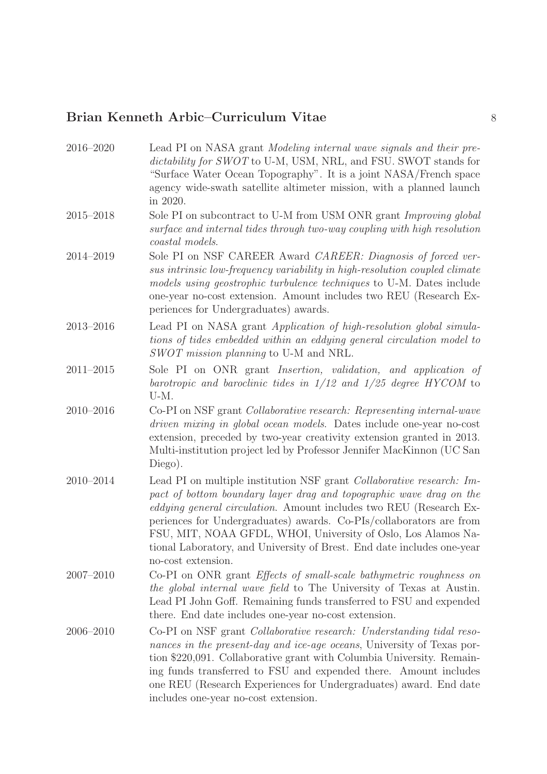2016–2020 Lead PI on NASA grant Modeling internal wave signals and their predictability for SWOT to U-M, USM, NRL, and FSU. SWOT stands for "Surface Water Ocean Topography". It is a joint NASA/French space agency wide-swath satellite altimeter mission, with a planned launch in 2020. 2015–2018 Sole PI on subcontract to U-M from USM ONR grant Improving global surface and internal tides through two-way coupling with high resolution coastal models. 2014–2019 Sole PI on NSF CAREER Award CAREER: Diagnosis of forced versus intrinsic low-frequency variability in high-resolution coupled climate models using geostrophic turbulence techniques to U-M. Dates include one-year no-cost extension. Amount includes two REU (Research Experiences for Undergraduates) awards. 2013–2016 Lead PI on NASA grant Application of high-resolution global simulations of tides embedded within an eddying general circulation model to SWOT mission planning to U-M and NRL. 2011–2015 Sole PI on ONR grant Insertion, validation, and application of barotropic and baroclinic tides in 1/12 and 1/25 degree HYCOM to U-M. 2010–2016 Co-PI on NSF grant Collaborative research: Representing internal-wave driven mixing in global ocean models. Dates include one-year no-cost extension, preceded by two-year creativity extension granted in 2013. Multi-institution project led by Professor Jennifer MacKinnon (UC San Diego). 2010–2014 Lead PI on multiple institution NSF grant Collaborative research: Impact of bottom boundary layer drag and topographic wave drag on the eddying general circulation. Amount includes two REU (Research Experiences for Undergraduates) awards. Co-PIs/collaborators are from FSU, MIT, NOAA GFDL, WHOI, University of Oslo, Los Alamos National Laboratory, and University of Brest. End date includes one-year no-cost extension. 2007–2010 Co-PI on ONR grant Effects of small-scale bathymetric roughness on the global internal wave field to The University of Texas at Austin. Lead PI John Goff. Remaining funds transferred to FSU and expended there. End date includes one-year no-cost extension. 2006–2010 Co-PI on NSF grant Collaborative research: Understanding tidal resonances in the present-day and ice-age oceans, University of Texas portion \$220,091. Collaborative grant with Columbia University. Remaining funds transferred to FSU and expended there. Amount includes one REU (Research Experiences for Undergraduates) award. End date includes one-year no-cost extension.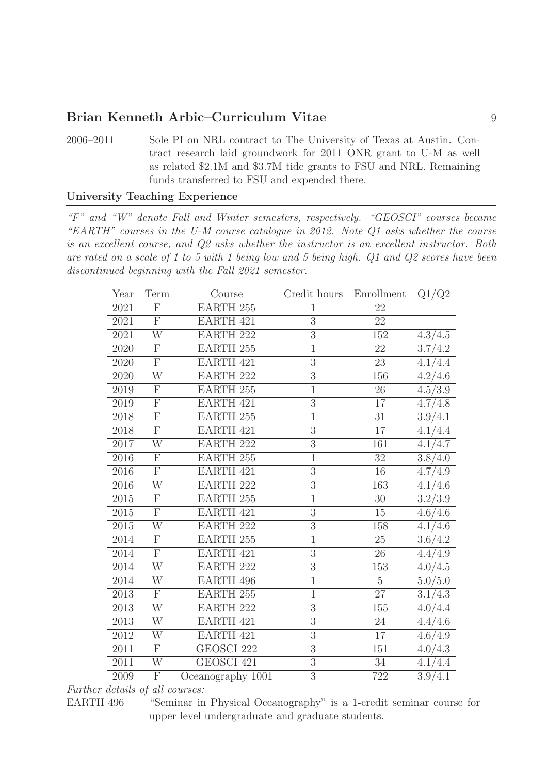2006–2011 Sole PI on NRL contract to The University of Texas at Austin. Contract research laid groundwork for 2011 ONR grant to U-M as well as related \$2.1M and \$3.7M tide grants to FSU and NRL. Remaining funds transferred to FSU and expended there.

#### University Teaching Experience

"F" and "W" denote Fall and Winter semesters, respectively. "GEOSCI" courses became "EARTH" courses in the U-M course catalogue in 2012. Note Q1 asks whether the course is an excellent course, and Q2 asks whether the instructor is an excellent instructor. Both are rated on a scale of 1 to 5 with 1 being low and 5 being high. Q1 and Q2 scores have been discontinued beginning with the Fall 2021 semester.

| Year | Term                    | Course               | Credit hours   | Enrollment      | Q1/Q2               |
|------|-------------------------|----------------------|----------------|-----------------|---------------------|
| 2021 | $\overline{\mathrm{F}}$ | EARTH <sub>255</sub> | $\mathbf{1}$   | $\overline{22}$ |                     |
| 2021 | $\mathbf F$             | <b>EARTH 421</b>     | 3              | 22              |                     |
| 2021 | $\overline{\text{W}}$   | <b>EARTH 222</b>     | 3              | 152             | 4.3/4.5             |
| 2020 | ${\bf F}$               | <b>EARTH 255</b>     | $\mathbf{1}$   | 22              | 3.7/4.2             |
| 2020 | ${\bf F}$               | <b>EARTH 421</b>     | 3              | 23              | 4.1/4.4             |
| 2020 | $\overline{\text{W}}$   | <b>EARTH 222</b>     | $\overline{3}$ | 156             | 4.2/4.6             |
| 2019 | $\mathbf{F}$            | <b>EARTH 255</b>     | $\mathbf{1}$   | 26              | 4.5/3.9             |
| 2019 | $\overline{F}$          | EARTH 421            | 3              | 17              | 4.7/4.8             |
| 2018 | $\overline{\mathrm{F}}$ | <b>EARTH 255</b>     | $\mathbf{1}$   | 31              | 3.9/4.1             |
| 2018 | $\overline{F}$          | <b>EARTH 421</b>     | 3              | 17              | 4.1/4.4             |
| 2017 | $\overline{\text{W}}$   | <b>EARTH 222</b>     | $\overline{3}$ | 161             | 4.1/4.7             |
| 2016 | ${\bf F}$               | <b>EARTH 255</b>     | $\mathbf{1}$   | 32              | 3.8/4.0             |
| 2016 | $\overline{\mathrm{F}}$ | EARTH 421            | $\overline{3}$ | 16              | 4.7/4.9             |
| 2016 | $\overline{\text{W}}$   | <b>EARTH 222</b>     | 3              | 163             | 4.1/4.6             |
| 2015 | $\mathbf F$             | <b>EARTH 255</b>     | 1              | 30              | 3.2/3.9             |
| 2015 | $\overline{\mathrm{F}}$ | <b>EARTH 421</b>     | $\overline{3}$ | 15              | 4.6/4.6             |
| 2015 | W                       | <b>EARTH 222</b>     | 3              | 158             | 4.1/4.6             |
| 2014 | $\overline{F}$          | <b>EARTH 255</b>     | $\mathbf{1}$   | 25              | 3.6/4.2             |
| 2014 | $\overline{F}$          | EARTH 421            | $\overline{3}$ | 26              | 4.4/4.9             |
| 2014 | W                       | <b>EARTH 222</b>     | $\overline{3}$ | 153             | 4.0/4.5             |
| 2014 | $\overline{\text{W}}$   | EARTH 496            | $\mathbf{1}$   | $\overline{5}$  | $\frac{1}{5.0/5.0}$ |
| 2013 | $\mathbf{F}$            | <b>EARTH 255</b>     | $\mathbf{1}$   | 27              | 3.1/4.3             |
| 2013 | W                       | <b>EARTH 222</b>     | $\overline{3}$ | 155             | 4.0/4.4             |
| 2013 | $\overline{\text{W}}$   | EARTH 421            | $\overline{3}$ | $24\,$          | 4.4/4.6             |
| 2012 | W                       | EARTH 421            | 3              | 17              | 4.6/4.9             |
| 2011 | $\overline{\mathrm{F}}$ | GEOSCI 222           | 3              | 151             | 4.0/4.3             |
| 2011 | W                       | GEOSCI 421           | 3              | 34              | 4.1/4.4             |
| 2009 | $\overline{\mathrm{F}}$ | Oceanography 1001    | $\overline{3}$ | 722             | 3.9/4.1             |

#### Further details of all courses:

EARTH 496 "Seminar in Physical Oceanography" is a 1-credit seminar course for upper level undergraduate and graduate students.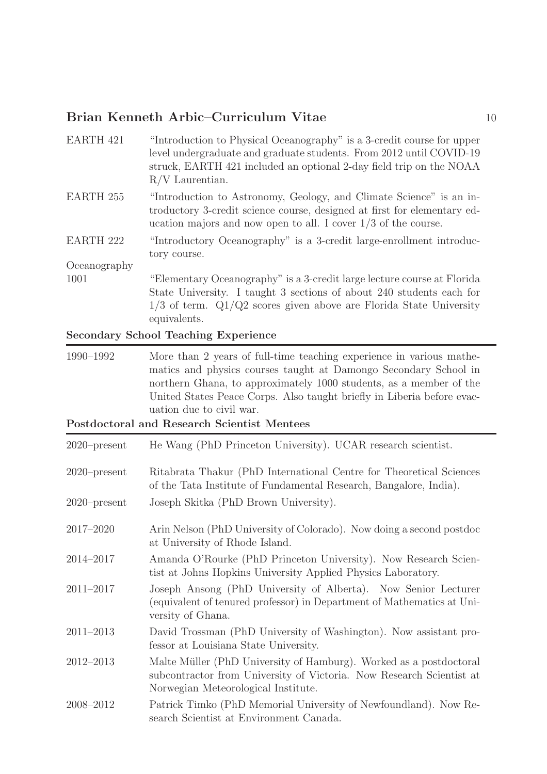| EARTH 421        | "Introduction to Physical Oceanography" is a 3-credit course for upper<br>level undergraduate and graduate students. From 2012 until COVID-19<br>struck, EARTH 421 included an optional 2-day field trip on the NOAA<br>$R/V$ Laurentian. |
|------------------|-------------------------------------------------------------------------------------------------------------------------------------------------------------------------------------------------------------------------------------------|
| <b>EARTH 255</b> | "Introduction to Astronomy, Geology, and Climate Science" is an in-<br>troductory 3-credit science course, designed at first for elementary ed-<br>ucation majors and now open to all. I cover $1/3$ of the course.                       |
| <b>EARTH 222</b> | "Introductory Oceanography" is a 3-credit large-enrollment introduc-<br>tory course.                                                                                                                                                      |
| Oceanography     |                                                                                                                                                                                                                                           |
| 1001             | "Elementary Oceanography" is a 3-credit large lecture course at Florida<br>State University. I taught 3 sections of about 240 students each for<br>$1/3$ of term. $Q1/Q2$ scores given above are Florida State University<br>equivalents. |

### Secondary School Teaching Experience

| 1990–1992 | More than 2 years of full-time teaching experience in various mathe-   |
|-----------|------------------------------------------------------------------------|
|           | matics and physics courses taught at Damongo Secondary School in       |
|           | northern Ghana, to approximately 1000 students, as a member of the     |
|           | United States Peace Corps. Also taught briefly in Liberia before evac- |
|           | uation due to civil war.                                               |

Postdoctoral and Research Scientist Mentees

| $2020$ -present | He Wang (PhD Princeton University). UCAR research scientist.                                                                                                                      |
|-----------------|-----------------------------------------------------------------------------------------------------------------------------------------------------------------------------------|
| $2020$ -present | Ritabrata Thakur (PhD International Centre for Theoretical Sciences<br>of the Tata Institute of Fundamental Research, Bangalore, India).                                          |
| $2020$ -present | Joseph Skitka (PhD Brown University).                                                                                                                                             |
| 2017-2020       | Arin Nelson (PhD University of Colorado). Now doing a second postdoc<br>at University of Rhode Island.                                                                            |
| 2014-2017       | Amanda O'Rourke (PhD Princeton University). Now Research Scien-<br>tist at Johns Hopkins University Applied Physics Laboratory.                                                   |
| $2011 - 2017$   | Joseph Ansong (PhD University of Alberta). Now Senior Lecturer<br>(equivalent of tenured professor) in Department of Mathematics at Uni-<br>versity of Ghana.                     |
| $2011 - 2013$   | David Trossman (PhD University of Washington). Now assistant pro-<br>fessor at Louisiana State University.                                                                        |
| $2012 - 2013$   | Malte Müller (PhD University of Hamburg). Worked as a postdoctoral<br>subcontractor from University of Victoria. Now Research Scientist at<br>Norwegian Meteorological Institute. |
| 2008-2012       | Patrick Timko (PhD Memorial University of Newfoundland). Now Re-<br>search Scientist at Environment Canada.                                                                       |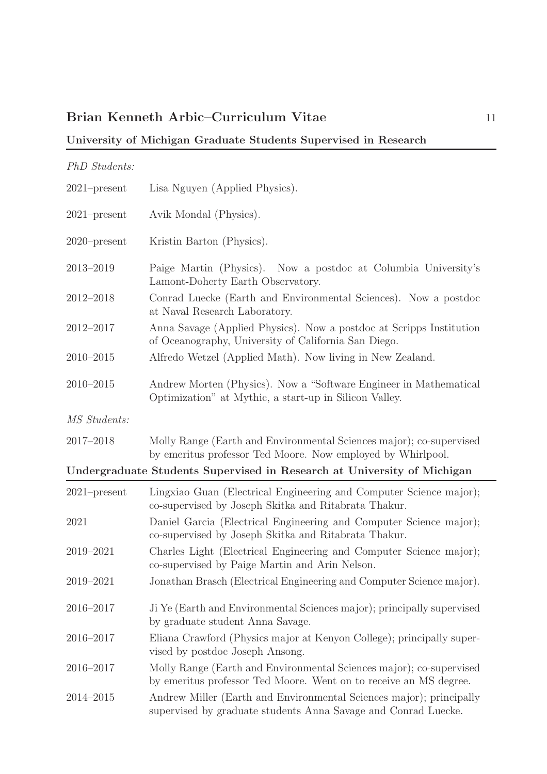### University of Michigan Graduate Students Supervised in Research

| PhD Students:   |                                                                                                                                          |
|-----------------|------------------------------------------------------------------------------------------------------------------------------------------|
| $2021$ -present | Lisa Nguyen (Applied Physics).                                                                                                           |
| $2021$ -present | Avik Mondal (Physics).                                                                                                                   |
| $2020$ -present | Kristin Barton (Physics).                                                                                                                |
| 2013-2019       | Paige Martin (Physics). Now a postdoc at Columbia University's<br>Lamont-Doherty Earth Observatory.                                      |
| $2012 - 2018$   | Conrad Luecke (Earth and Environmental Sciences). Now a postdoc<br>at Naval Research Laboratory.                                         |
| 2012-2017       | Anna Savage (Applied Physics). Now a postdoc at Scripps Institution<br>of Oceanography, University of California San Diego.              |
| $2010 - 2015$   | Alfredo Wetzel (Applied Math). Now living in New Zealand.                                                                                |
| $2010 - 2015$   | Andrew Morten (Physics). Now a "Software Engineer in Mathematical<br>Optimization" at Mythic, a start-up in Silicon Valley.              |
| MS Students:    |                                                                                                                                          |
| 2017-2018       | Molly Range (Earth and Environmental Sciences major); co-supervised<br>by emeritus professor Ted Moore. Now employed by Whirlpool.       |
|                 | Undergraduate Students Supervised in Research at University of Michigan                                                                  |
| $2021$ -present | Lingxiao Guan (Electrical Engineering and Computer Science major);<br>co-supervised by Joseph Skitka and Ritabrata Thakur.               |
| 2021            | Daniel Garcia (Electrical Engineering and Computer Science major);<br>co-supervised by Joseph Skitka and Ritabrata Thakur.               |
| 2019-2021       | Charles Light (Electrical Engineering and Computer Science major);<br>co-supervised by Paige Martin and Arin Nelson.                     |
| 2019-2021       | Jonathan Brasch (Electrical Engineering and Computer Science major).                                                                     |
| 2016-2017       | Ji Ye (Earth and Environmental Sciences major); principally supervised<br>by graduate student Anna Savage.                               |
| 2016-2017       | Eliana Crawford (Physics major at Kenyon College); principally super-<br>vised by postdoc Joseph Ansong.                                 |
| 2016-2017       | Molly Range (Earth and Environmental Sciences major); co-supervised<br>by emeritus professor Ted Moore. Went on to receive an MS degree. |
| 2014-2015       | Andrew Miller (Earth and Environmental Sciences major); principally<br>supervised by graduate students Anna Savage and Conrad Luecke.    |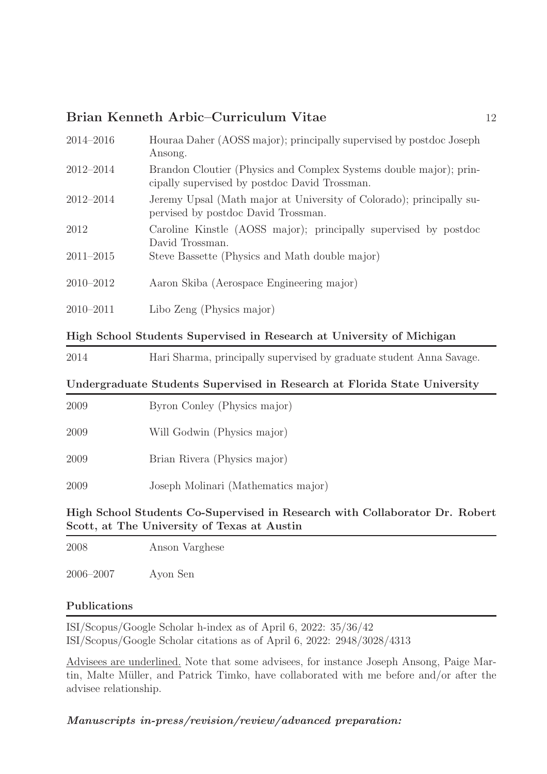| $2014 - 2016$ | Houraa Daher (AOSS major); principally supervised by postdoc Joseph<br>Ansong.                                      |
|---------------|---------------------------------------------------------------------------------------------------------------------|
| 2012-2014     | Brandon Cloutier (Physics and Complex Systems double major); prin-<br>cipally supervised by postdoc David Trossman. |
| $2012 - 2014$ | Jeremy Upsal (Math major at University of Colorado); principally su-<br>pervised by postdoc David Trossman.         |
| 2012          | Caroline Kinstle (AOSS major); principally supervised by postdoc<br>David Trossman.                                 |
| $2011 - 2015$ | Steve Bassette (Physics and Math double major)                                                                      |
| $2010 - 2012$ | Aaron Skiba (Aerospace Engineering major)                                                                           |
| $2010 - 2011$ | Libo Zeng (Physics major)                                                                                           |
|               |                                                                                                                     |

### High School Students Supervised in Research at University of Michigan

2014 Hari Sharma, principally supervised by graduate student Anna Savage.

### Undergraduate Students Supervised in Research at Florida State University

| 2009 | Byron Conley (Physics major)        |
|------|-------------------------------------|
| 2009 | Will Godwin (Physics major)         |
| 2009 | Brian Rivera (Physics major)        |
| 2009 | Joseph Molinari (Mathematics major) |
|      |                                     |

High School Students Co-Supervised in Research with Collaborator Dr. Robert Scott, at The University of Texas at Austin

2008 Anson Varghese

2006–2007 Ayon Sen

### Publications

ISI/Scopus/Google Scholar h-index as of April 6, 2022: 35/36/42 ISI/Scopus/Google Scholar citations as of April 6, 2022: 2948/3028/4313

Advisees are underlined. Note that some advisees, for instance Joseph Ansong, Paige Martin, Malte Müller, and Patrick Timko, have collaborated with me before and/or after the advisee relationship.

Manuscripts in-press/revision/review/advanced preparation: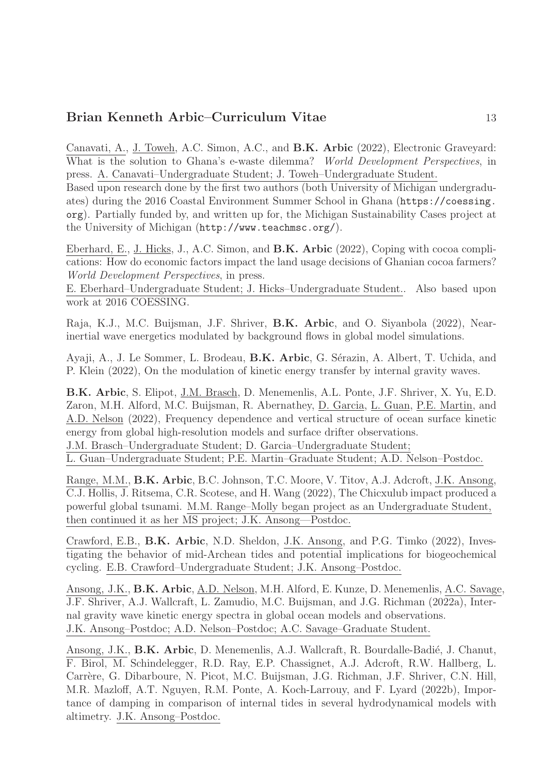Canavati, A., J. Toweh, A.C. Simon, A.C., and B.K. Arbic (2022), Electronic Graveyard: What is the solution to Ghana's e-waste dilemma? World Development Perspectives, in press. A. Canavati–Undergraduate Student; J. Toweh–Undergraduate Student.

Based upon research done by the first two authors (both University of Michigan undergraduates) during the 2016 Coastal Environment Summer School in Ghana (https://coessing. org). Partially funded by, and written up for, the Michigan Sustainability Cases project at the University of Michigan (http://www.teachmsc.org/).

Eberhard, E., J. Hicks, J., A.C. Simon, and B.K. Arbic (2022), Coping with cocoa complications: How do economic factors impact the land usage decisions of Ghanian cocoa farmers? World Development Perspectives, in press.

E. Eberhard–Undergraduate Student; J. Hicks–Undergraduate Student.. Also based upon work at 2016 COESSING.

Raja, K.J., M.C. Buijsman, J.F. Shriver, B.K. Arbic, and O. Siyanbola (2022), Nearinertial wave energetics modulated by background flows in global model simulations.

Ayaji, A., J. Le Sommer, L. Brodeau, B.K. Arbic, G. Sérazin, A. Albert, T. Uchida, and P. Klein (2022), On the modulation of kinetic energy transfer by internal gravity waves.

B.K. Arbic, S. Elipot, J.M. Brasch, D. Menemenlis, A.L. Ponte, J.F. Shriver, X. Yu, E.D. Zaron, M.H. Alford, M.C. Buijsman, R. Abernathey, D. Garcia, L. Guan, P.E. Martin, and A.D. Nelson (2022), Frequency dependence and vertical structure of ocean surface kinetic energy from global high-resolution models and surface drifter observations.

J.M. Brasch–Undergraduate Student; D. Garcia–Undergraduate Student;

L. Guan–Undergraduate Student; P.E. Martin–Graduate Student; A.D. Nelson–Postdoc.

Range, M.M., B.K. Arbic, B.C. Johnson, T.C. Moore, V. Titov, A.J. Adcroft, J.K. Ansong, C.J. Hollis, J. Ritsema, C.R. Scotese, and H. Wang (2022), The Chicxulub impact produced a powerful global tsunami. M.M. Range–Molly began project as an Undergraduate Student, then continued it as her MS project; J.K. Ansong—Postdoc.

Crawford, E.B., B.K. Arbic, N.D. Sheldon, J.K. Ansong, and P.G. Timko (2022), Investigating the behavior of mid-Archean tides and potential implications for biogeochemical cycling. E.B. Crawford–Undergraduate Student; J.K. Ansong–Postdoc.

Ansong, J.K., B.K. Arbic, A.D. Nelson, M.H. Alford, E. Kunze, D. Menemenlis, A.C. Savage, J.F. Shriver, A.J. Wallcraft, L. Zamudio, M.C. Buijsman, and J.G. Richman (2022a), Internal gravity wave kinetic energy spectra in global ocean models and observations. J.K. Ansong–Postdoc; A.D. Nelson–Postdoc; A.C. Savage–Graduate Student.

Ansong, J.K., **B.K. Arbic**, D. Menemenlis, A.J. Wallcraft, R. Bourdalle-Badié, J. Chanut, F. Birol, M. Schindelegger, R.D. Ray, E.P. Chassignet, A.J. Adcroft, R.W. Hallberg, L. Carrère, G. Dibarboure, N. Picot, M.C. Buijsman, J.G. Richman, J.F. Shriver, C.N. Hill, M.R. Mazloff, A.T. Nguyen, R.M. Ponte, A. Koch-Larrouy, and F. Lyard (2022b), Importance of damping in comparison of internal tides in several hydrodynamical models with altimetry. J.K. Ansong–Postdoc.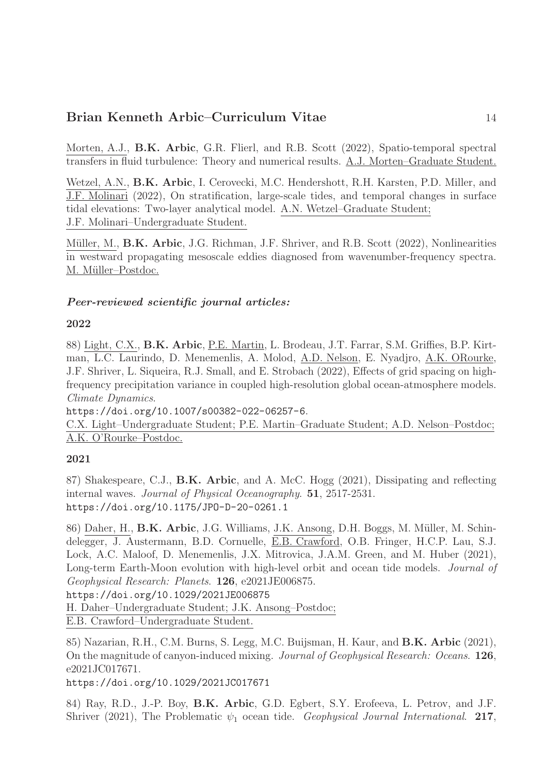Morten, A.J., B.K. Arbic, G.R. Flierl, and R.B. Scott (2022), Spatio-temporal spectral transfers in fluid turbulence: Theory and numerical results. A.J. Morten–Graduate Student.

Wetzel, A.N., **B.K. Arbic**, I. Cerovecki, M.C. Hendershott, R.H. Karsten, P.D. Miller, and J.F. Molinari (2022), On stratification, large-scale tides, and temporal changes in surface tidal elevations: Two-layer analytical model. A.N. Wetzel–Graduate Student; J.F. Molinari–Undergraduate Student.

Müller, M., **B.K. Arbic**, J.G. Richman, J.F. Shriver, and R.B. Scott (2022), Nonlinearities in westward propagating mesoscale eddies diagnosed from wavenumber-frequency spectra. M. Müller–Postdoc.

### Peer-reviewed scientific journal articles:

#### 2022

88) Light, C.X., B.K. Arbic, P.E. Martin, L. Brodeau, J.T. Farrar, S.M. Griffies, B.P. Kirtman, L.C. Laurindo, D. Menemenlis, A. Molod, A.D. Nelson, E. Nyadjro, A.K. ORourke, J.F. Shriver, L. Siqueira, R.J. Small, and E. Strobach (2022), Effects of grid spacing on highfrequency precipitation variance in coupled high-resolution global ocean-atmosphere models. Climate Dynamics.

https://doi.org/10.1007/s00382-022-06257-6.

C.X. Light–Undergraduate Student; P.E. Martin–Graduate Student; A.D. Nelson–Postdoc; A.K. O'Rourke–Postdoc.

### 2021

87) Shakespeare, C.J., B.K. Arbic, and A. McC. Hogg (2021), Dissipating and reflecting internal waves. Journal of Physical Oceanography. 51, 2517-2531. https://doi.org/10.1175/JPO-D-20-0261.1

86) Daher, H., **B.K. Arbic**, J.G. Williams, J.K. Ansong, D.H. Boggs, M. Müller, M. Schindelegger, J. Austermann, B.D. Cornuelle, E.B. Crawford, O.B. Fringer, H.C.P. Lau, S.J. Lock, A.C. Maloof, D. Menemenlis, J.X. Mitrovica, J.A.M. Green, and M. Huber (2021), Long-term Earth-Moon evolution with high-level orbit and ocean tide models. *Journal of* Geophysical Research: Planets. 126, e2021JE006875. https://doi.org/10.1029/2021JE006875 H. Daher–Undergraduate Student; J.K. Ansong–Postdoc; E.B. Crawford–Undergraduate Student.

85) Nazarian, R.H., C.M. Burns, S. Legg, M.C. Buijsman, H. Kaur, and B.K. Arbic (2021), On the magnitude of canyon-induced mixing. Journal of Geophysical Research: Oceans. 126, e2021JC017671.

https://doi.org/10.1029/2021JC017671

84) Ray, R.D., J.-P. Boy, B.K. Arbic, G.D. Egbert, S.Y. Erofeeva, L. Petrov, and J.F. Shriver (2021), The Problematic  $\psi_1$  ocean tide. Geophysical Journal International. 217,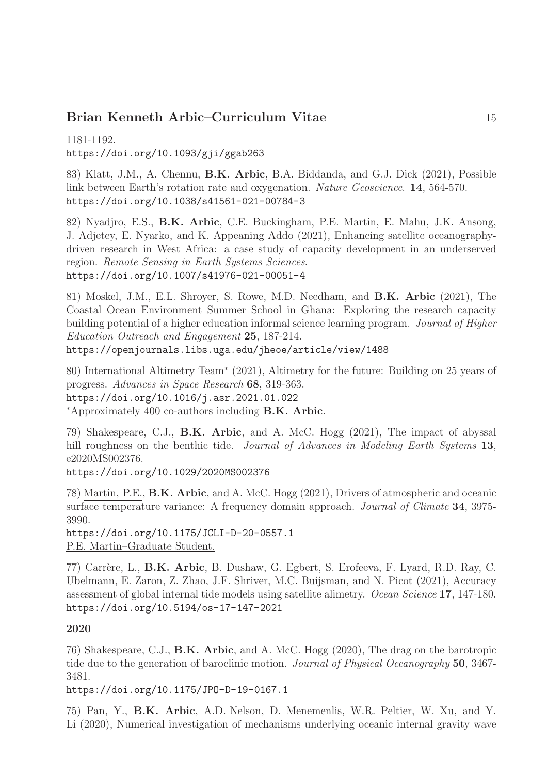1181-1192. https://doi.org/10.1093/gji/ggab263

83) Klatt, J.M., A. Chennu, B.K. Arbic, B.A. Biddanda, and G.J. Dick (2021), Possible link between Earth's rotation rate and oxygenation. Nature Geoscience. 14, 564-570. https://doi.org/10.1038/s41561-021-00784-3

82) Nyadjro, E.S., B.K. Arbic, C.E. Buckingham, P.E. Martin, E. Mahu, J.K. Ansong, J. Adjetey, E. Nyarko, and K. Appeaning Addo (2021), Enhancing satellite oceanographydriven research in West Africa: a case study of capacity development in an underserved region. Remote Sensing in Earth Systems Sciences. https://doi.org/10.1007/s41976-021-00051-4

81) Moskel, J.M., E.L. Shroyer, S. Rowe, M.D. Needham, and B.K. Arbic (2021), The Coastal Ocean Environment Summer School in Ghana: Exploring the research capacity building potential of a higher education informal science learning program. Journal of Higher Education Outreach and Engagement 25, 187-214.

https://openjournals.libs.uga.edu/jheoe/article/view/1488

80) International Altimetry Team<sup>∗</sup> (2021), Altimetry for the future: Building on 25 years of progress. Advances in Space Research 68, 319-363. https://doi.org/10.1016/j.asr.2021.01.022 <sup>∗</sup>Approximately 400 co-authors including B.K. Arbic.

79) Shakespeare, C.J., B.K. Arbic, and A. McC. Hogg (2021), The impact of abyssal hill roughness on the benthic tide. *Journal of Advances in Modeling Earth Systems* 13, e2020MS002376.

https://doi.org/10.1029/2020MS002376

78) Martin, P.E., B.K. Arbic, and A. McC. Hogg (2021), Drivers of atmospheric and oceanic surface temperature variance: A frequency domain approach. *Journal of Climate* 34, 3975-3990.

https://doi.org/10.1175/JCLI-D-20-0557.1 P.E. Martin–Graduate Student.

77) Carrère, L., B.K. Arbic, B. Dushaw, G. Egbert, S. Erofeeva, F. Lyard, R.D. Ray, C. Ubelmann, E. Zaron, Z. Zhao, J.F. Shriver, M.C. Buijsman, and N. Picot (2021), Accuracy assessment of global internal tide models using satellite alimetry. Ocean Science 17, 147-180. https://doi.org/10.5194/os-17-147-2021

#### 2020

76) Shakespeare, C.J., B.K. Arbic, and A. McC. Hogg (2020), The drag on the barotropic tide due to the generation of baroclinic motion. Journal of Physical Oceanography 50, 3467- 3481.

https://doi.org/10.1175/JPO-D-19-0167.1

75) Pan, Y., B.K. Arbic, A.D. Nelson, D. Menemenlis, W.R. Peltier, W. Xu, and Y. Li (2020), Numerical investigation of mechanisms underlying oceanic internal gravity wave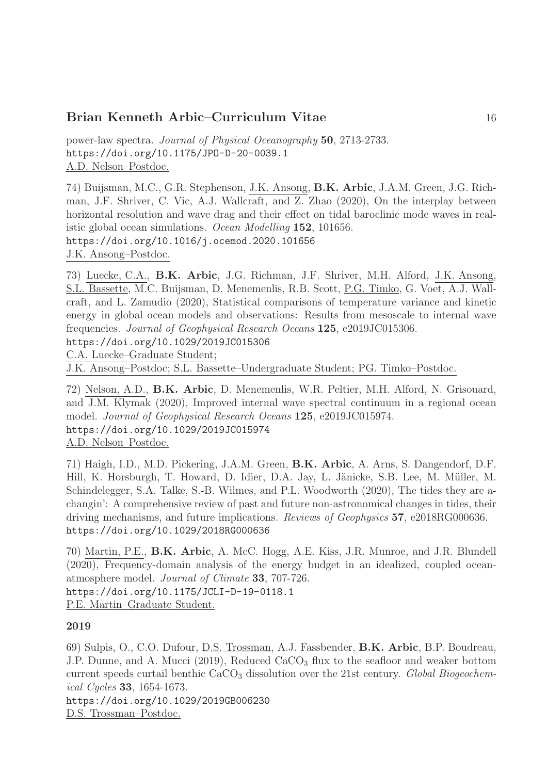power-law spectra. Journal of Physical Oceanography 50, 2713-2733. https://doi.org/10.1175/JPO-D-20-0039.1 A.D. Nelson–Postdoc.

74) Buijsman, M.C., G.R. Stephenson, J.K. Ansong, B.K. Arbic, J.A.M. Green, J.G. Richman, J.F. Shriver, C. Vic, A.J. Wallcraft, and Z. Zhao (2020), On the interplay between horizontal resolution and wave drag and their effect on tidal baroclinic mode waves in realistic global ocean simulations. Ocean Modelling 152, 101656. https://doi.org/10.1016/j.ocemod.2020.101656 J.K. Ansong–Postdoc.

73) Luecke, C.A., B.K. Arbic, J.G. Richman, J.F. Shriver, M.H. Alford, J.K. Ansong, S.L. Bassette, M.C. Buijsman, D. Menemenlis, R.B. Scott, P.G. Timko, G. Voet, A.J. Wallcraft, and L. Zamudio (2020), Statistical comparisons of temperature variance and kinetic energy in global ocean models and observations: Results from mesoscale to internal wave frequencies. Journal of Geophysical Research Oceans 125, e2019JC015306. https://doi.org/10.1029/2019JC015306

C.A. Luecke–Graduate Student;

J.K. Ansong–Postdoc; S.L. Bassette–Undergraduate Student; PG. Timko–Postdoc.

72) Nelson, A.D., B.K. Arbic, D. Menemenlis, W.R. Peltier, M.H. Alford, N. Grisouard, and J.M. Klymak (2020), Improved internal wave spectral continuum in a regional ocean model. Journal of Geophysical Research Oceans 125, e2019JC015974. https://doi.org/10.1029/2019JC015974 A.D. Nelson–Postdoc.

71) Haigh, I.D., M.D. Pickering, J.A.M. Green, B.K. Arbic, A. Arns, S. Dangendorf, D.F. Hill, K. Horsburgh, T. Howard, D. Idier, D.A. Jay, L. Jänicke, S.B. Lee, M. Müller, M. Schindelegger, S.A. Talke, S.-B. Wilmes, and P.L. Woodworth (2020), The tides they are achangin': A comprehensive review of past and future non-astronomical changes in tides, their driving mechanisms, and future implications. Reviews of Geophysics 57, e2018RG000636. https://doi.org/10.1029/2018RG000636

70) Martin, P.E., B.K. Arbic, A. McC. Hogg, A.E. Kiss, J.R. Munroe, and J.R. Blundell (2020), Frequency-domain analysis of the energy budget in an idealized, coupled oceanatmosphere model. Journal of Climate 33, 707-726. https://doi.org/10.1175/JCLI-D-19-0118.1 P.E. Martin–Graduate Student.

#### 2019

69) Sulpis, O., C.O. Dufour, D.S. Trossman, A.J. Fassbender, B.K. Arbic, B.P. Boudreau, J.P. Dunne, and A. Mucci (2019), Reduced  $CaCO<sub>3</sub>$  flux to the seafloor and weaker bottom current speeds curtail benthic  $CaCO<sub>3</sub>$  dissolution over the 21st century. Global Biogeochemical Cycles 33, 1654-1673.

https://doi.org/10.1029/2019GB006230 D.S. Trossman–Postdoc.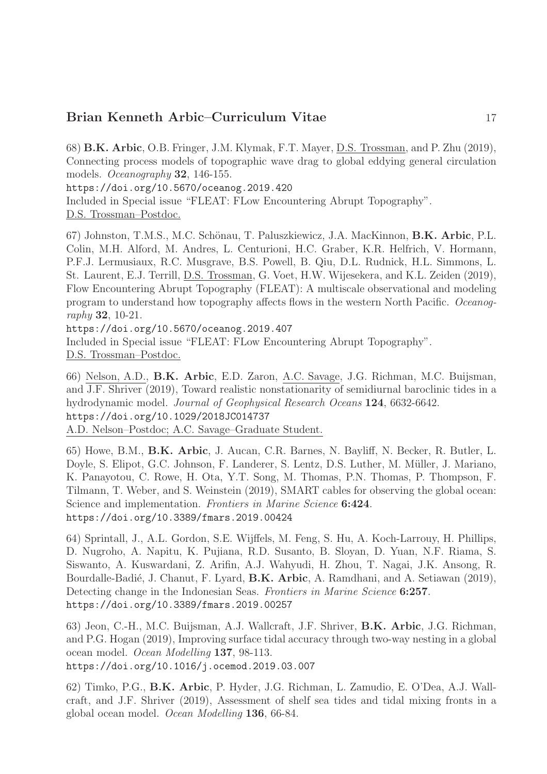68) B.K. Arbic, O.B. Fringer, J.M. Klymak, F.T. Mayer, D.S. Trossman, and P. Zhu (2019), Connecting process models of topographic wave drag to global eddying general circulation models. Oceanography 32, 146-155.

https://doi.org/10.5670/oceanog.2019.420

Included in Special issue "FLEAT: FLow Encountering Abrupt Topography". D.S. Trossman–Postdoc.

67) Johnston, T.M.S., M.C. Schönau, T. Paluszkiewicz, J.A. MacKinnon, B.K. Arbic, P.L. Colin, M.H. Alford, M. Andres, L. Centurioni, H.C. Graber, K.R. Helfrich, V. Hormann, P.F.J. Lermusiaux, R.C. Musgrave, B.S. Powell, B. Qiu, D.L. Rudnick, H.L. Simmons, L. St. Laurent, E.J. Terrill, D.S. Trossman, G. Voet, H.W. Wijesekera, and K.L. Zeiden (2019), Flow Encountering Abrupt Topography (FLEAT): A multiscale observational and modeling program to understand how topography affects flows in the western North Pacific. Oceanography 32, 10-21.

https://doi.org/10.5670/oceanog.2019.407 Included in Special issue "FLEAT: FLow Encountering Abrupt Topography".

D.S. Trossman–Postdoc.

66) Nelson, A.D., B.K. Arbic, E.D. Zaron, A.C. Savage, J.G. Richman, M.C. Buijsman, and J.F. Shriver (2019), Toward realistic nonstationarity of semidiurnal baroclinic tides in a hydrodynamic model. Journal of Geophysical Research Oceans 124, 6632-6642. https://doi.org/10.1029/2018JC014737 A.D. Nelson–Postdoc; A.C. Savage–Graduate Student.

65) Howe, B.M., B.K. Arbic, J. Aucan, C.R. Barnes, N. Bayliff, N. Becker, R. Butler, L. Doyle, S. Elipot, G.C. Johnson, F. Landerer, S. Lentz, D.S. Luther, M. Müller, J. Mariano, K. Panayotou, C. Rowe, H. Ota, Y.T. Song, M. Thomas, P.N. Thomas, P. Thompson, F. Tilmann, T. Weber, and S. Weinstein (2019), SMART cables for observing the global ocean: Science and implementation. Frontiers in Marine Science 6:424. https://doi.org/10.3389/fmars.2019.00424

64) Sprintall, J., A.L. Gordon, S.E. Wijffels, M. Feng, S. Hu, A. Koch-Larrouy, H. Phillips, D. Nugroho, A. Napitu, K. Pujiana, R.D. Susanto, B. Sloyan, D. Yuan, N.F. Riama, S. Siswanto, A. Kuswardani, Z. Arifin, A.J. Wahyudi, H. Zhou, T. Nagai, J.K. Ansong, R. Bourdalle-Badié, J. Chanut, F. Lyard, **B.K. Arbic**, A. Ramdhani, and A. Setiawan (2019), Detecting change in the Indonesian Seas. Frontiers in Marine Science 6:257. https://doi.org/10.3389/fmars.2019.00257

63) Jeon, C.-H., M.C. Buijsman, A.J. Wallcraft, J.F. Shriver, B.K. Arbic, J.G. Richman, and P.G. Hogan (2019), Improving surface tidal accuracy through two-way nesting in a global ocean model. Ocean Modelling 137, 98-113. https://doi.org/10.1016/j.ocemod.2019.03.007

62) Timko, P.G., B.K. Arbic, P. Hyder, J.G. Richman, L. Zamudio, E. O'Dea, A.J. Wallcraft, and J.F. Shriver (2019), Assessment of shelf sea tides and tidal mixing fronts in a global ocean model. Ocean Modelling 136, 66-84.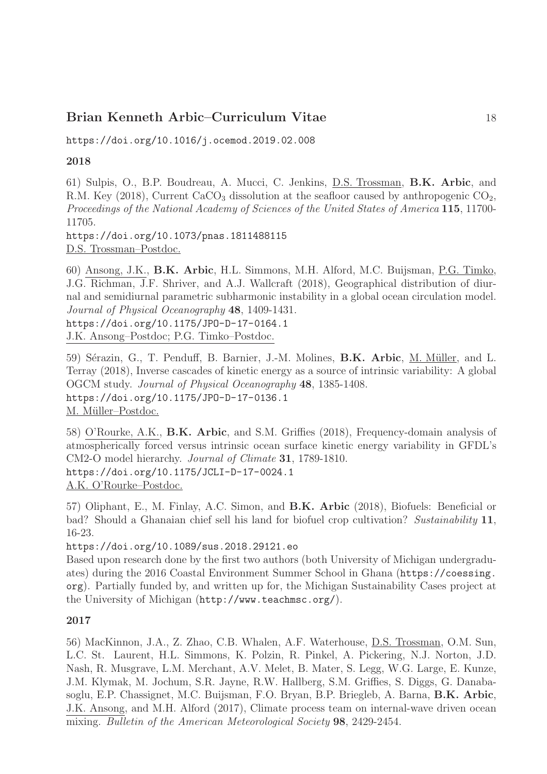https://doi.org/10.1016/j.ocemod.2019.02.008

### 2018

61) Sulpis, O., B.P. Boudreau, A. Mucci, C. Jenkins, D.S. Trossman, B.K. Arbic, and R.M. Key (2018), Current CaCO<sub>3</sub> dissolution at the seafloor caused by anthropogenic  $CO<sub>2</sub>$ , Proceedings of the National Academy of Sciences of the United States of America 115, 11700- 11705. https://doi.org/10.1073/pnas.1811488115

D.S. Trossman–Postdoc.

60) Ansong, J.K., B.K. Arbic, H.L. Simmons, M.H. Alford, M.C. Buijsman, P.G. Timko, J.G. Richman, J.F. Shriver, and A.J. Wallcraft (2018), Geographical distribution of diurnal and semidiurnal parametric subharmonic instability in a global ocean circulation model. Journal of Physical Oceanography 48, 1409-1431. https://doi.org/10.1175/JPO-D-17-0164.1

J.K. Ansong–Postdoc; P.G. Timko–Postdoc.

59) Sérazin, G., T. Penduff, B. Barnier, J.-M. Molines, B.K. Arbic, M. Müller, and L. Terray (2018), Inverse cascades of kinetic energy as a source of intrinsic variability: A global OGCM study. Journal of Physical Oceanography 48, 1385-1408. https://doi.org/10.1175/JPO-D-17-0136.1 M. Müller-Postdoc.

58) O'Rourke, A.K., B.K. Arbic, and S.M. Griffies (2018), Frequency-domain analysis of atmospherically forced versus intrinsic ocean surface kinetic energy variability in GFDL's CM2-O model hierarchy. Journal of Climate 31, 1789-1810. https://doi.org/10.1175/JCLI-D-17-0024.1 A.K. O'Rourke–Postdoc.

57) Oliphant, E., M. Finlay, A.C. Simon, and B.K. Arbic (2018), Biofuels: Beneficial or bad? Should a Ghanaian chief sell his land for biofuel crop cultivation? Sustainability 11, 16-23.

https://doi.org/10.1089/sus.2018.29121.eo

Based upon research done by the first two authors (both University of Michigan undergraduates) during the 2016 Coastal Environment Summer School in Ghana (https://coessing. org). Partially funded by, and written up for, the Michigan Sustainability Cases project at the University of Michigan (http://www.teachmsc.org/).

### 2017

56) MacKinnon, J.A., Z. Zhao, C.B. Whalen, A.F. Waterhouse, D.S. Trossman, O.M. Sun, L.C. St. Laurent, H.L. Simmons, K. Polzin, R. Pinkel, A. Pickering, N.J. Norton, J.D. Nash, R. Musgrave, L.M. Merchant, A.V. Melet, B. Mater, S. Legg, W.G. Large, E. Kunze, J.M. Klymak, M. Jochum, S.R. Jayne, R.W. Hallberg, S.M. Griffies, S. Diggs, G. Danabasoglu, E.P. Chassignet, M.C. Buijsman, F.O. Bryan, B.P. Briegleb, A. Barna, B.K. Arbic, J.K. Ansong, and M.H. Alford (2017), Climate process team on internal-wave driven ocean mixing. Bulletin of the American Meteorological Society 98, 2429-2454.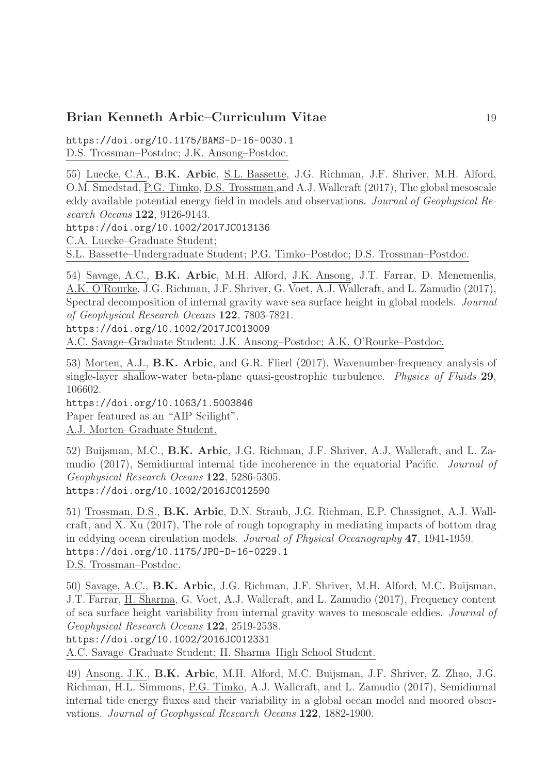https://doi.org/10.1175/BAMS-D-16-0030.1 D.S. Trossman–Postdoc; J.K. Ansong–Postdoc.

55) Luecke, C.A., B.K. Arbic, S.L. Bassette, J.G. Richman, J.F. Shriver, M.H. Alford, O.M. Smedstad, P.G. Timko, D.S. Trossman,and A.J. Wallcraft (2017), The global mesoscale eddy available potential energy field in models and observations. Journal of Geophysical Research Oceans 122, 9126-9143.

https://doi.org/10.1002/2017JC013136

C.A. Luecke–Graduate Student;

S.L. Bassette–Undergraduate Student; P.G. Timko–Postdoc; D.S. Trossman–Postdoc.

54) Savage, A.C., B.K. Arbic, M.H. Alford, J.K. Ansong, J.T. Farrar, D. Menemenlis, A.K. O'Rourke, J.G. Richman, J.F. Shriver, G. Voet, A.J. Wallcraft, and L. Zamudio (2017), Spectral decomposition of internal gravity wave sea surface height in global models. Journal of Geophysical Research Oceans 122, 7803-7821.

https://doi.org/10.1002/2017JC013009

A.C. Savage–Graduate Student; J.K. Ansong–Postdoc; A.K. O'Rourke–Postdoc.

53) Morten, A.J., B.K. Arbic, and G.R. Flierl (2017), Wavenumber-frequency analysis of single-layer shallow-water beta-plane quasi-geostrophic turbulence. Physics of Fluids 29, 106602.

https://doi.org/10.1063/1.5003846 Paper featured as an "AIP Scilight". A.J. Morten–Graduate Student.

52) Buijsman, M.C., B.K. Arbic, J.G. Richman, J.F. Shriver, A.J. Wallcraft, and L. Zamudio (2017), Semidiurnal internal tide incoherence in the equatorial Pacific. Journal of Geophysical Research Oceans 122, 5286-5305. https://doi.org/10.1002/2016JC012590

51) Trossman, D.S., B.K. Arbic, D.N. Straub, J.G. Richman, E.P. Chassignet, A.J. Wallcraft, and X. Xu (2017), The role of rough topography in mediating impacts of bottom drag in eddying ocean circulation models. Journal of Physical Oceanography 47, 1941-1959. https://doi.org/10.1175/JPO-D-16-0229.1 D.S. Trossman–Postdoc.

50) Savage, A.C., B.K. Arbic, J.G. Richman, J.F. Shriver, M.H. Alford, M.C. Buijsman, J.T. Farrar, H. Sharma, G. Voet, A.J. Wallcraft, and L. Zamudio (2017), Frequency content of sea surface height variability from internal gravity waves to mesoscale eddies. Journal of Geophysical Research Oceans 122, 2519-2538.

https://doi.org/10.1002/2016JC012331

A.C. Savage–Graduate Student; H. Sharma–High School Student.

49) Ansong, J.K., B.K. Arbic, M.H. Alford, M.C. Buijsman, J.F. Shriver, Z. Zhao, J.G. Richman, H.L. Simmons, P.G. Timko, A.J. Wallcraft, and L. Zamudio (2017), Semidiurnal internal tide energy fluxes and their variability in a global ocean model and moored observations. Journal of Geophysical Research Oceans 122, 1882-1900.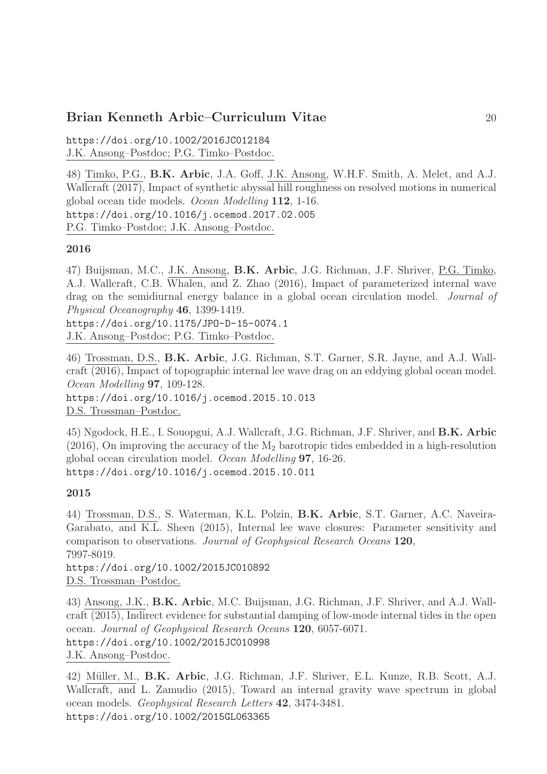https://doi.org/10.1002/2016JC012184 J.K. Ansong–Postdoc; P.G. Timko–Postdoc.

48) Timko, P.G., B.K. Arbic, J.A. Goff, J.K. Ansong, W.H.F. Smith, A. Melet, and A.J. Wallcraft (2017), Impact of synthetic abyssal hill roughness on resolved motions in numerical global ocean tide models. Ocean Modelling 112, 1-16. https://doi.org/10.1016/j.ocemod.2017.02.005 P.G. Timko–Postdoc; J.K. Ansong–Postdoc.

#### 2016

47) Buijsman, M.C., J.K. Ansong, B.K. Arbic, J.G. Richman, J.F. Shriver, P.G. Timko, A.J. Wallcraft, C.B. Whalen, and Z. Zhao (2016), Impact of parameterized internal wave drag on the semidiurnal energy balance in a global ocean circulation model. Journal of Physical Oceanography 46, 1399-1419.

https://doi.org/10.1175/JPO-D-15-0074.1 J.K. Ansong–Postdoc; P.G. Timko–Postdoc.

46) Trossman, D.S., B.K. Arbic, J.G. Richman, S.T. Garner, S.R. Jayne, and A.J. Wallcraft (2016), Impact of topographic internal lee wave drag on an eddying global ocean model. Ocean Modelling 97, 109-128. https://doi.org/10.1016/j.ocemod.2015.10.013

D.S. Trossman–Postdoc.

45) Ngodock, H.E., I. Souopgui, A.J. Wallcraft, J.G. Richman, J.F. Shriver, and B.K. Arbic (2016), On improving the accuracy of the  $M_2$  barotropic tides embedded in a high-resolution global ocean circulation model. Ocean Modelling 97, 16-26. https://doi.org/10.1016/j.ocemod.2015.10.011

#### 2015

44) Trossman, D.S., S. Waterman, K.L. Polzin, B.K. Arbic, S.T. Garner, A.C. Naveira-Garabato, and K.L. Sheen (2015), Internal lee wave closures: Parameter sensitivity and comparison to observations. Journal of Geophysical Research Oceans 120, 7997-8019.

https://doi.org/10.1002/2015JC010892 D.S. Trossman–Postdoc.

43) Ansong, J.K., B.K. Arbic, M.C. Buijsman, J.G. Richman, J.F. Shriver, and A.J. Wallcraft (2015), Indirect evidence for substantial damping of low-mode internal tides in the open ocean. Journal of Geophysical Research Oceans 120, 6057-6071. https://doi.org/10.1002/2015JC010998 J.K. Ansong–Postdoc.

42) Müller, M., B.K. Arbic, J.G. Richman, J.F. Shriver, E.L. Kunze, R.B. Scott, A.J. Wallcraft, and L. Zamudio (2015), Toward an internal gravity wave spectrum in global ocean models. Geophysical Research Letters 42, 3474-3481. https://doi.org/10.1002/2015GL063365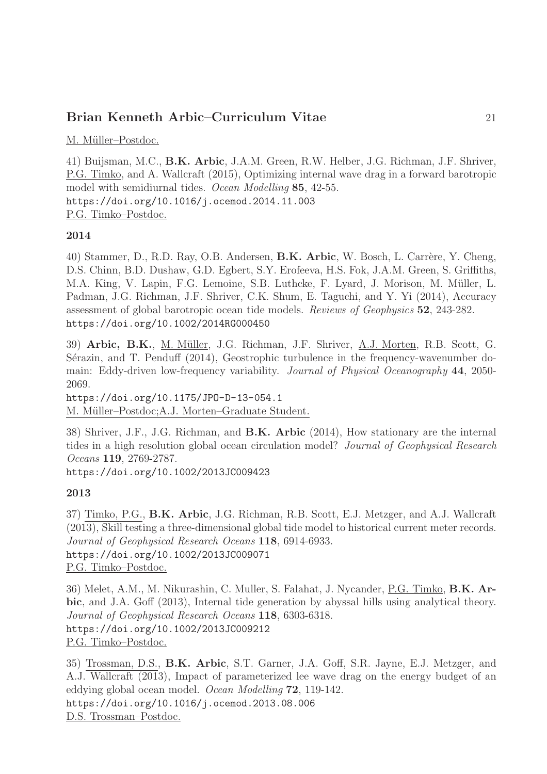M. Müller–Postdoc.

41) Buijsman, M.C., B.K. Arbic, J.A.M. Green, R.W. Helber, J.G. Richman, J.F. Shriver, P.G. Timko, and A. Wallcraft (2015), Optimizing internal wave drag in a forward barotropic model with semidiurnal tides. Ocean Modelling 85, 42-55. https://doi.org/10.1016/j.ocemod.2014.11.003 P.G. Timko–Postdoc.

#### 2014

40) Stammer, D., R.D. Ray, O.B. Andersen, B.K. Arbic, W. Bosch, L. Carrère, Y. Cheng, D.S. Chinn, B.D. Dushaw, G.D. Egbert, S.Y. Erofeeva, H.S. Fok, J.A.M. Green, S. Griffiths, M.A. King, V. Lapin, F.G. Lemoine, S.B. Luthcke, F. Lyard, J. Morison, M. Müller, L. Padman, J.G. Richman, J.F. Shriver, C.K. Shum, E. Taguchi, and Y. Yi (2014), Accuracy assessment of global barotropic ocean tide models. Reviews of Geophysics 52, 243-282. https://doi.org/10.1002/2014RG000450

39) Arbic, B.K., M. M¨uller, J.G. Richman, J.F. Shriver, A.J. Morten, R.B. Scott, G. Sérazin, and T. Penduff (2014), Geostrophic turbulence in the frequency-wavenumber domain: Eddy-driven low-frequency variability. *Journal of Physical Oceanography* 44, 2050-2069.

https://doi.org/10.1175/JPO-D-13-054.1 M. Müller–Postdoc; A.J. Morten–Graduate Student.

38) Shriver, J.F., J.G. Richman, and B.K. Arbic (2014), How stationary are the internal tides in a high resolution global ocean circulation model? Journal of Geophysical Research Oceans 119, 2769-2787.

https://doi.org/10.1002/2013JC009423

#### 2013

37) Timko, P.G., B.K. Arbic, J.G. Richman, R.B. Scott, E.J. Metzger, and A.J. Wallcraft (2013), Skill testing a three-dimensional global tide model to historical current meter records. Journal of Geophysical Research Oceans 118, 6914-6933. https://doi.org/10.1002/2013JC009071 P.G. Timko–Postdoc.

36) Melet, A.M., M. Nikurashin, C. Muller, S. Falahat, J. Nycander, P.G. Timko, B.K. Arbic, and J.A. Goff (2013), Internal tide generation by abyssal hills using analytical theory. Journal of Geophysical Research Oceans 118, 6303-6318. https://doi.org/10.1002/2013JC009212 P.G. Timko–Postdoc.

35) Trossman, D.S., B.K. Arbic, S.T. Garner, J.A. Goff, S.R. Jayne, E.J. Metzger, and A.J. Wallcraft (2013), Impact of parameterized lee wave drag on the energy budget of an eddying global ocean model. Ocean Modelling 72, 119-142. https://doi.org/10.1016/j.ocemod.2013.08.006 D.S. Trossman–Postdoc.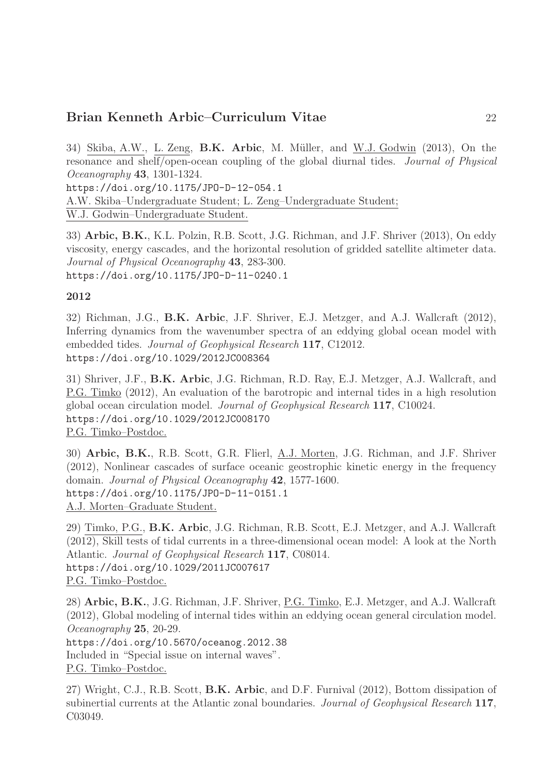34) Skiba, A.W., L. Zeng, B.K. Arbic, M. Müller, and W.J. Godwin (2013), On the resonance and shelf/open-ocean coupling of the global diurnal tides. Journal of Physical Oceanography 43, 1301-1324. https://doi.org/10.1175/JPO-D-12-054.1 A.W. Skiba–Undergraduate Student; L. Zeng–Undergraduate Student;

W.J. Godwin–Undergraduate Student.

33) Arbic, B.K., K.L. Polzin, R.B. Scott, J.G. Richman, and J.F. Shriver (2013), On eddy viscosity, energy cascades, and the horizontal resolution of gridded satellite altimeter data. Journal of Physical Oceanography 43, 283-300. https://doi.org/10.1175/JPO-D-11-0240.1

### 2012

32) Richman, J.G., B.K. Arbic, J.F. Shriver, E.J. Metzger, and A.J. Wallcraft (2012), Inferring dynamics from the wavenumber spectra of an eddying global ocean model with embedded tides. Journal of Geophysical Research 117, C12012. https://doi.org/10.1029/2012JC008364

31) Shriver, J.F., B.K. Arbic, J.G. Richman, R.D. Ray, E.J. Metzger, A.J. Wallcraft, and P.G. Timko (2012), An evaluation of the barotropic and internal tides in a high resolution global ocean circulation model. Journal of Geophysical Research 117, C10024. https://doi.org/10.1029/2012JC008170 P.G. Timko–Postdoc.

30) Arbic, B.K., R.B. Scott, G.R. Flierl, A.J. Morten, J.G. Richman, and J.F. Shriver (2012), Nonlinear cascades of surface oceanic geostrophic kinetic energy in the frequency domain. Journal of Physical Oceanography 42, 1577-1600. https://doi.org/10.1175/JPO-D-11-0151.1 A.J. Morten–Graduate Student.

29) Timko, P.G., B.K. Arbic, J.G. Richman, R.B. Scott, E.J. Metzger, and A.J. Wallcraft (2012), Skill tests of tidal currents in a three-dimensional ocean model: A look at the North Atlantic. Journal of Geophysical Research 117, C08014. https://doi.org/10.1029/2011JC007617 P.G. Timko–Postdoc.

28) Arbic, B.K., J.G. Richman, J.F. Shriver, P.G. Timko, E.J. Metzger, and A.J. Wallcraft (2012), Global modeling of internal tides within an eddying ocean general circulation model. Oceanography 25, 20-29.

https://doi.org/10.5670/oceanog.2012.38 Included in "Special issue on internal waves". P.G. Timko–Postdoc.

27) Wright, C.J., R.B. Scott, B.K. Arbic, and D.F. Furnival (2012), Bottom dissipation of subinertial currents at the Atlantic zonal boundaries. Journal of Geophysical Research 117, C03049.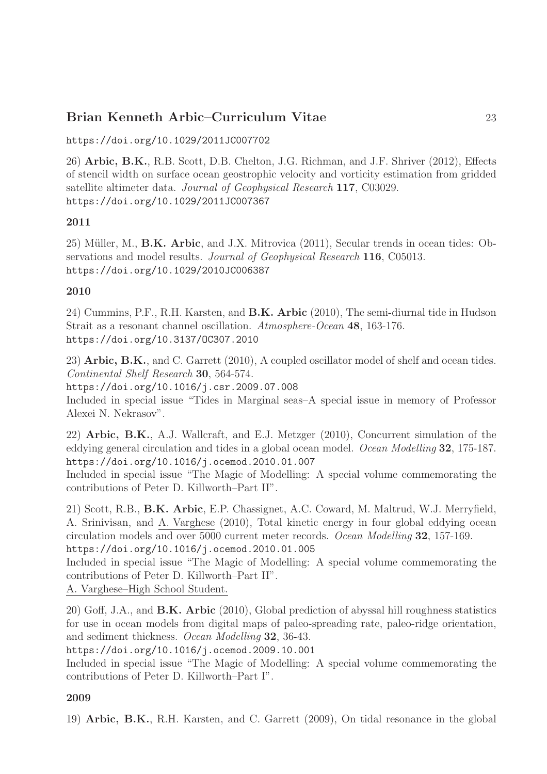https://doi.org/10.1029/2011JC007702

26) Arbic, B.K., R.B. Scott, D.B. Chelton, J.G. Richman, and J.F. Shriver (2012), Effects of stencil width on surface ocean geostrophic velocity and vorticity estimation from gridded satellite altimeter data. Journal of Geophysical Research 117, C03029. https://doi.org/10.1029/2011JC007367

#### 2011

 $25)$  Müller, M., **B.K. Arbic**, and J.X. Mitrovica  $(2011)$ , Secular trends in ocean tides: Observations and model results. *Journal of Geophysical Research* 116, C05013. https://doi.org/10.1029/2010JC006387

#### 2010

24) Cummins, P.F., R.H. Karsten, and B.K. Arbic (2010), The semi-diurnal tide in Hudson Strait as a resonant channel oscillation. Atmosphere-Ocean 48, 163-176. https://doi.org/10.3137/OC307.2010

23) Arbic, B.K., and C. Garrett (2010), A coupled oscillator model of shelf and ocean tides. Continental Shelf Research 30, 564-574.

https://doi.org/10.1016/j.csr.2009.07.008

Included in special issue "Tides in Marginal seas–A special issue in memory of Professor Alexei N. Nekrasov".

22) Arbic, B.K., A.J. Wallcraft, and E.J. Metzger (2010), Concurrent simulation of the eddying general circulation and tides in a global ocean model. Ocean Modelling 32, 175-187. https://doi.org/10.1016/j.ocemod.2010.01.007

Included in special issue "The Magic of Modelling: A special volume commemorating the contributions of Peter D. Killworth–Part II".

21) Scott, R.B., B.K. Arbic, E.P. Chassignet, A.C. Coward, M. Maltrud, W.J. Merryfield, A. Srinivisan, and A. Varghese (2010), Total kinetic energy in four global eddying ocean circulation models and over 5000 current meter records. Ocean Modelling 32, 157-169. https://doi.org/10.1016/j.ocemod.2010.01.005

Included in special issue "The Magic of Modelling: A special volume commemorating the contributions of Peter D. Killworth–Part II".

A. Varghese–High School Student.

20) Goff, J.A., and B.K. Arbic (2010), Global prediction of abyssal hill roughness statistics for use in ocean models from digital maps of paleo-spreading rate, paleo-ridge orientation, and sediment thickness. Ocean Modelling 32, 36-43.

https://doi.org/10.1016/j.ocemod.2009.10.001

Included in special issue "The Magic of Modelling: A special volume commemorating the contributions of Peter D. Killworth–Part I".

#### 2009

19) Arbic, B.K., R.H. Karsten, and C. Garrett (2009), On tidal resonance in the global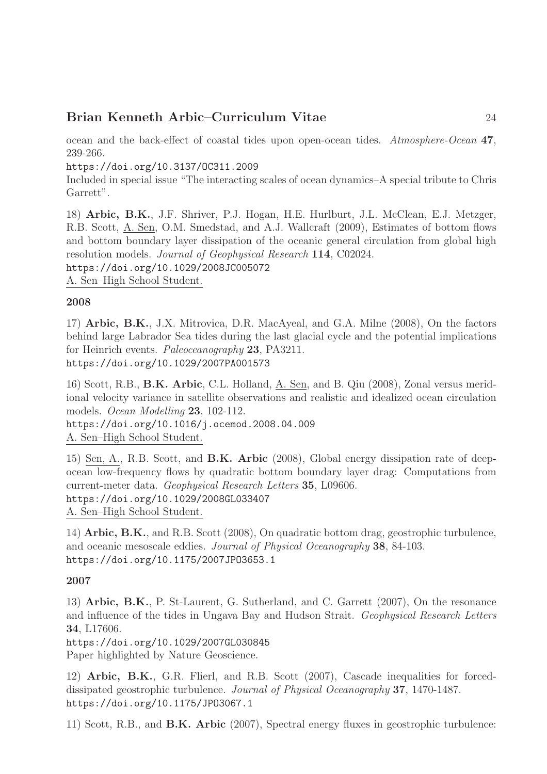ocean and the back-effect of coastal tides upon open-ocean tides. Atmosphere-Ocean 47, 239-266.

https://doi.org/10.3137/OC311.2009

Included in special issue "The interacting scales of ocean dynamics–A special tribute to Chris Garrett".

18) Arbic, B.K., J.F. Shriver, P.J. Hogan, H.E. Hurlburt, J.L. McClean, E.J. Metzger, R.B. Scott, A. Sen, O.M. Smedstad, and A.J. Wallcraft (2009), Estimates of bottom flows and bottom boundary layer dissipation of the oceanic general circulation from global high resolution models. Journal of Geophysical Research 114, C02024. https://doi.org/10.1029/2008JC005072

A. Sen–High School Student.

#### 2008

17) Arbic, B.K., J.X. Mitrovica, D.R. MacAyeal, and G.A. Milne (2008), On the factors behind large Labrador Sea tides during the last glacial cycle and the potential implications for Heinrich events. Paleoceanography 23, PA3211. https://doi.org/10.1029/2007PA001573

16) Scott, R.B., B.K. Arbic, C.L. Holland, A. Sen, and B. Qiu (2008), Zonal versus meridional velocity variance in satellite observations and realistic and idealized ocean circulation models. Ocean Modelling 23, 102-112.

https://doi.org/10.1016/j.ocemod.2008.04.009 A. Sen–High School Student.

15) Sen, A., R.B. Scott, and B.K. Arbic (2008), Global energy dissipation rate of deepocean low-frequency flows by quadratic bottom boundary layer drag: Computations from current-meter data. Geophysical Research Letters 35, L09606. https://doi.org/10.1029/2008GL033407 A. Sen–High School Student.

14) Arbic, B.K., and R.B. Scott (2008), On quadratic bottom drag, geostrophic turbulence, and oceanic mesoscale eddies. Journal of Physical Oceanography 38, 84-103. https://doi.org/10.1175/2007JPO3653.1

### 2007

13) Arbic, B.K., P. St-Laurent, G. Sutherland, and C. Garrett (2007), On the resonance and influence of the tides in Ungava Bay and Hudson Strait. Geophysical Research Letters 34, L17606.

https://doi.org/10.1029/2007GL030845 Paper highlighted by Nature Geoscience.

12) Arbic, B.K., G.R. Flierl, and R.B. Scott (2007), Cascade inequalities for forceddissipated geostrophic turbulence. Journal of Physical Oceanography 37, 1470-1487. https://doi.org/10.1175/JPO3067.1

11) Scott, R.B., and B.K. Arbic (2007), Spectral energy fluxes in geostrophic turbulence: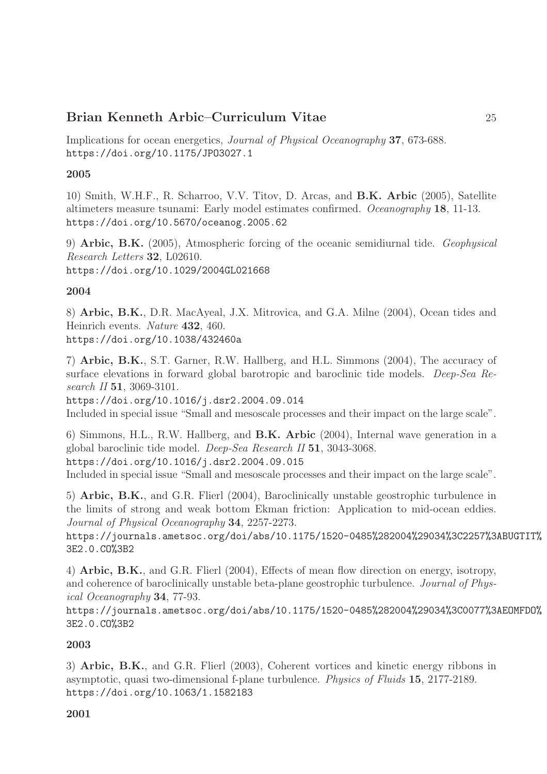Implications for ocean energetics, Journal of Physical Oceanography 37, 673-688. https://doi.org/10.1175/JPO3027.1

#### 2005

10) Smith, W.H.F., R. Scharroo, V.V. Titov, D. Arcas, and B.K. Arbic (2005), Satellite altimeters measure tsunami: Early model estimates confirmed. Oceanography 18, 11-13. https://doi.org/10.5670/oceanog.2005.62

9) Arbic, B.K. (2005), Atmospheric forcing of the oceanic semidiurnal tide. Geophysical Research Letters 32, L02610. https://doi.org/10.1029/2004GL021668

#### 2004

8) Arbic, B.K., D.R. MacAyeal, J.X. Mitrovica, and G.A. Milne (2004), Ocean tides and Heinrich events. Nature 432, 460. https://doi.org/10.1038/432460a

7) Arbic, B.K., S.T. Garner, R.W. Hallberg, and H.L. Simmons (2004), The accuracy of surface elevations in forward global barotropic and baroclinic tide models. Deep-Sea Research II **51**, 3069-3101.

https://doi.org/10.1016/j.dsr2.2004.09.014 Included in special issue "Small and mesoscale processes and their impact on the large scale".

6) Simmons, H.L., R.W. Hallberg, and B.K. Arbic (2004), Internal wave generation in a global baroclinic tide model. Deep-Sea Research II 51, 3043-3068. https://doi.org/10.1016/j.dsr2.2004.09.015 Included in special issue "Small and mesoscale processes and their impact on the large scale".

5) Arbic, B.K., and G.R. Flierl (2004), Baroclinically unstable geostrophic turbulence in the limits of strong and weak bottom Ekman friction: Application to mid-ocean eddies. Journal of Physical Oceanography 34, 2257-2273.

https://journals.ametsoc.org/doi/abs/10.1175/1520-0485%282004%29034%3C2257%3ABUGTIT% 3E2.0.CO%3B2

4) Arbic, B.K., and G.R. Flierl (2004), Effects of mean flow direction on energy, isotropy, and coherence of baroclinically unstable beta-plane geostrophic turbulence. Journal of Physical Oceanography 34, 77-93.

https://journals.ametsoc.org/doi/abs/10.1175/1520-0485%282004%29034%3C0077%3AEOMFDO% 3E2.0.CO%3B2

### 2003

3) Arbic, B.K., and G.R. Flierl (2003), Coherent vortices and kinetic energy ribbons in asymptotic, quasi two-dimensional f-plane turbulence. Physics of Fluids 15, 2177-2189. https://doi.org/10.1063/1.1582183

#### 2001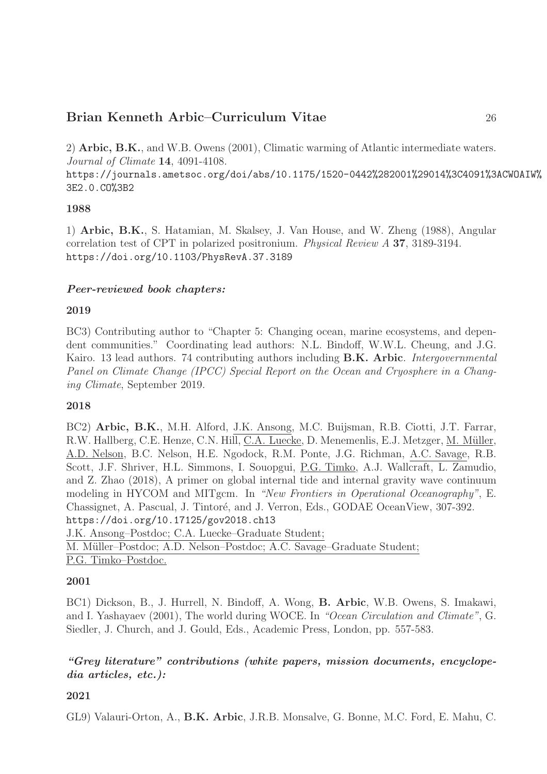2) Arbic, B.K., and W.B. Owens (2001), Climatic warming of Atlantic intermediate waters. Journal of Climate 14, 4091-4108.

https://journals.ametsoc.org/doi/abs/10.1175/1520-0442%282001%29014%3C4091%3ACWOAIW% 3E2.0.CO%3B2

### 1988

1) Arbic, B.K., S. Hatamian, M. Skalsey, J. Van House, and W. Zheng (1988), Angular correlation test of CPT in polarized positronium. Physical Review A 37, 3189-3194. https://doi.org/10.1103/PhysRevA.37.3189

### Peer-reviewed book chapters:

### 2019

BC3) Contributing author to "Chapter 5: Changing ocean, marine ecosystems, and dependent communities." Coordinating lead authors: N.L. Bindoff, W.W.L. Cheung, and J.G. Kairo. 13 lead authors. 74 contributing authors including **B.K. Arbic**. *Intergovernmental* Panel on Climate Change (IPCC) Special Report on the Ocean and Cryosphere in a Changing Climate, September 2019.

#### 2018

BC2) Arbic, B.K., M.H. Alford, J.K. Ansong, M.C. Buijsman, R.B. Ciotti, J.T. Farrar, R.W. Hallberg, C.E. Henze, C.N. Hill, C.A. Luecke, D. Menemenlis, E.J. Metzger, M. M¨uller, A.D. Nelson, B.C. Nelson, H.E. Ngodock, R.M. Ponte, J.G. Richman, A.C. Savage, R.B. Scott, J.F. Shriver, H.L. Simmons, I. Souopgui, P.G. Timko, A.J. Wallcraft, L. Zamudio, and Z. Zhao (2018), A primer on global internal tide and internal gravity wave continuum modeling in HYCOM and MITgcm. In "New Frontiers in Operational Oceanography", E. Chassignet, A. Pascual, J. Tintoré, and J. Verron, Eds., GODAE OceanView, 307-392. https://doi.org/10.17125/gov2018.ch13

J.K. Ansong–Postdoc; C.A. Luecke–Graduate Student;

M. Müller–Postdoc; A.D. Nelson–Postdoc; A.C. Savage–Graduate Student;

P.G. Timko–Postdoc.

#### 2001

BC1) Dickson, B., J. Hurrell, N. Bindoff, A. Wong, B. Arbic, W.B. Owens, S. Imakawi, and I. Yashayaev (2001), The world during WOCE. In "Ocean Circulation and Climate", G. Siedler, J. Church, and J. Gould, Eds., Academic Press, London, pp. 557-583.

### "Grey literature" contributions (white papers, mission documents, encyclopedia articles, etc.):

### 2021

GL9) Valauri-Orton, A., B.K. Arbic, J.R.B. Monsalve, G. Bonne, M.C. Ford, E. Mahu, C.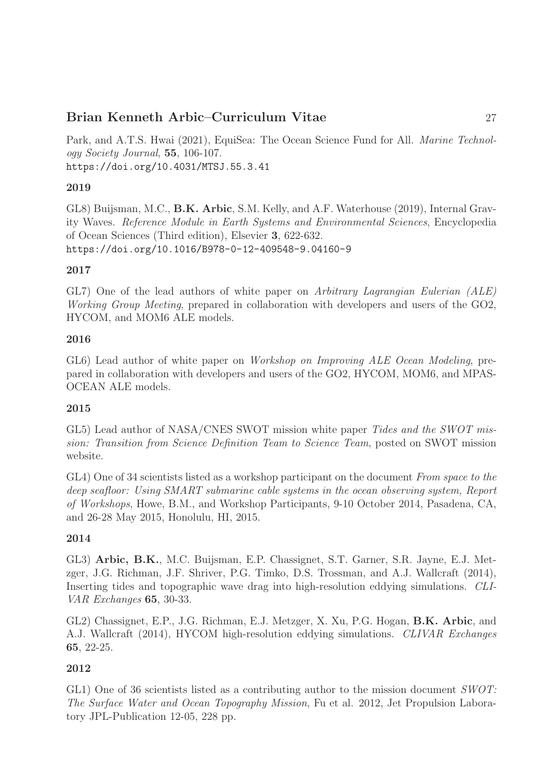Park, and A.T.S. Hwai (2021), EquiSea: The Ocean Science Fund for All. *Marine Technol*ogy Society Journal, 55, 106-107. https://doi.org/10.4031/MTSJ.55.3.41

### 2019

GL8) Buijsman, M.C., B.K. Arbic, S.M. Kelly, and A.F. Waterhouse (2019), Internal Gravity Waves. Reference Module in Earth Systems and Environmental Sciences, Encyclopedia of Ocean Sciences (Third edition), Elsevier 3, 622-632. https://doi.org/10.1016/B978-0-12-409548-9.04160-9

### 2017

GL7) One of the lead authors of white paper on Arbitrary Lagrangian Eulerian (ALE) Working Group Meeting, prepared in collaboration with developers and users of the GO2, HYCOM, and MOM6 ALE models.

#### 2016

GL6) Lead author of white paper on *Workshop on Improving ALE Ocean Modeling*, prepared in collaboration with developers and users of the GO2, HYCOM, MOM6, and MPAS-OCEAN ALE models.

#### 2015

GL5) Lead author of NASA/CNES SWOT mission white paper Tides and the SWOT mission: Transition from Science Definition Team to Science Team, posted on SWOT mission website.

GL4) One of 34 scientists listed as a workshop participant on the document From space to the deep seafloor: Using SMART submarine cable systems in the ocean observing system, Report of Workshops, Howe, B.M., and Workshop Participants, 9-10 October 2014, Pasadena, CA, and 26-28 May 2015, Honolulu, HI, 2015.

### 2014

GL3) Arbic, B.K., M.C. Buijsman, E.P. Chassignet, S.T. Garner, S.R. Jayne, E.J. Metzger, J.G. Richman, J.F. Shriver, P.G. Timko, D.S. Trossman, and A.J. Wallcraft (2014), Inserting tides and topographic wave drag into high-resolution eddying simulations. CLI-VAR Exchanges 65, 30-33.

GL2) Chassignet, E.P., J.G. Richman, E.J. Metzger, X. Xu, P.G. Hogan, B.K. Arbic, and A.J. Wallcraft (2014), HYCOM high-resolution eddying simulations. CLIVAR Exchanges 65, 22-25.

### 2012

GL1) One of 36 scientists listed as a contributing author to the mission document  $SWOT$ : The Surface Water and Ocean Topography Mission, Fu et al. 2012, Jet Propulsion Laboratory JPL-Publication 12-05, 228 pp.